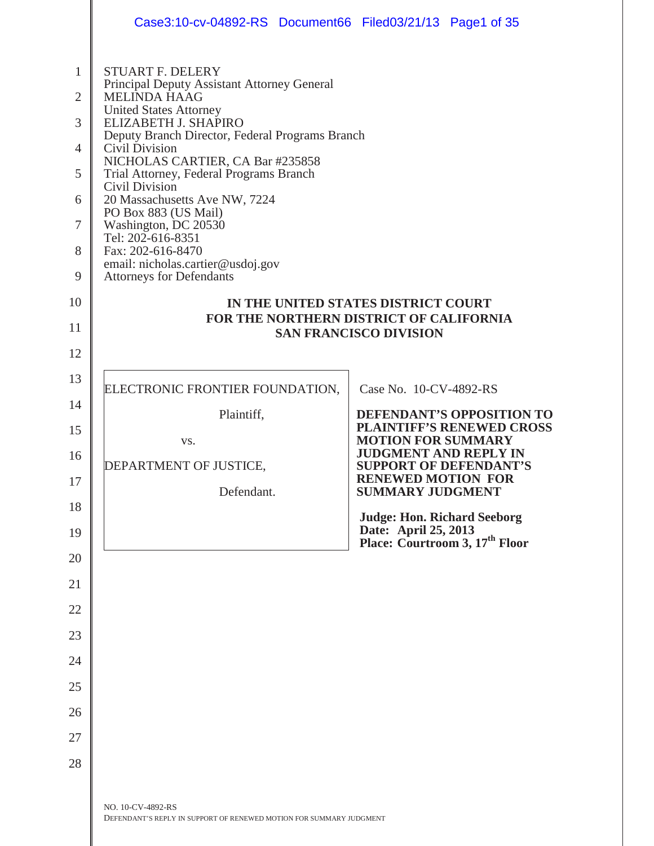|                                                                              | Case3:10-cv-04892-RS Document66 Filed03/21/13 Page1 of 35                                                                                                                                                                                                                                                                                                                                                                                                                                                                       |                                                                                                          |
|------------------------------------------------------------------------------|---------------------------------------------------------------------------------------------------------------------------------------------------------------------------------------------------------------------------------------------------------------------------------------------------------------------------------------------------------------------------------------------------------------------------------------------------------------------------------------------------------------------------------|----------------------------------------------------------------------------------------------------------|
| $\mathbf{1}$<br>$\overline{2}$<br>3<br>4<br>5<br>6<br>$\tau$<br>8<br>9<br>10 | <b>STUART F. DELERY</b><br>Principal Deputy Assistant Attorney General<br><b>MELINDA HAAG</b><br><b>United States Attorney</b><br>ELIZABETH J. SHAPIRO<br>Deputy Branch Director, Federal Programs Branch<br>Civil Division<br>NICHOLAS CARTIER, CA Bar #235858<br>Trial Attorney, Federal Programs Branch<br>Civil Division<br>20 Massachusetts Ave NW, 7224<br>PO Box 883 (US Mail)<br>Washington, DC 20530<br>Tel: 202-616-8351<br>Fax: 202-616-8470<br>email: nicholas.cartier@usdoj.gov<br><b>Attorneys for Defendants</b> | IN THE UNITED STATES DISTRICT COURT<br>FOR THE NORTHERN DISTRICT OF CALIFORNIA                           |
| 11<br>12                                                                     |                                                                                                                                                                                                                                                                                                                                                                                                                                                                                                                                 | <b>SAN FRANCISCO DIVISION</b>                                                                            |
| 13                                                                           |                                                                                                                                                                                                                                                                                                                                                                                                                                                                                                                                 |                                                                                                          |
| 14                                                                           | ELECTRONIC FRONTIER FOUNDATION,                                                                                                                                                                                                                                                                                                                                                                                                                                                                                                 | Case No. 10-CV-4892-RS                                                                                   |
| 15                                                                           | Plaintiff,                                                                                                                                                                                                                                                                                                                                                                                                                                                                                                                      | DEFENDANT'S OPPOSITION TO<br><b>PLAINTIFF'S RENEWED CROSS</b>                                            |
| 16                                                                           | VS.                                                                                                                                                                                                                                                                                                                                                                                                                                                                                                                             | <b>MOTION FOR SUMMARY</b><br><b>JUDGMENT AND REPLY IN</b>                                                |
|                                                                              | DEPARTMENT OF JUSTICE,                                                                                                                                                                                                                                                                                                                                                                                                                                                                                                          | <b>SUPPORT OF DEFENDANT'S</b><br><b>RENEWED MOTION FOR</b>                                               |
| 17                                                                           | Defendant.                                                                                                                                                                                                                                                                                                                                                                                                                                                                                                                      | <b>SUMMARY JUDGMENT</b>                                                                                  |
| 18<br>19                                                                     |                                                                                                                                                                                                                                                                                                                                                                                                                                                                                                                                 | <b>Judge: Hon. Richard Seeborg</b><br>Date: April 25, 2013<br>Place: Courtroom 3, 17 <sup>th</sup> Floor |
| 20                                                                           |                                                                                                                                                                                                                                                                                                                                                                                                                                                                                                                                 |                                                                                                          |
| 21                                                                           |                                                                                                                                                                                                                                                                                                                                                                                                                                                                                                                                 |                                                                                                          |
| 22                                                                           |                                                                                                                                                                                                                                                                                                                                                                                                                                                                                                                                 |                                                                                                          |
| 23                                                                           |                                                                                                                                                                                                                                                                                                                                                                                                                                                                                                                                 |                                                                                                          |
| 24                                                                           |                                                                                                                                                                                                                                                                                                                                                                                                                                                                                                                                 |                                                                                                          |
| 25                                                                           |                                                                                                                                                                                                                                                                                                                                                                                                                                                                                                                                 |                                                                                                          |
| 26                                                                           |                                                                                                                                                                                                                                                                                                                                                                                                                                                                                                                                 |                                                                                                          |
| 27                                                                           |                                                                                                                                                                                                                                                                                                                                                                                                                                                                                                                                 |                                                                                                          |
| 28                                                                           |                                                                                                                                                                                                                                                                                                                                                                                                                                                                                                                                 |                                                                                                          |
|                                                                              |                                                                                                                                                                                                                                                                                                                                                                                                                                                                                                                                 |                                                                                                          |
|                                                                              | NO. 10-CV-4892-RS<br>DEFENDANT'S REPLY IN SUPPORT OF RENEWED MOTION FOR SUMMARY JUDGMENT                                                                                                                                                                                                                                                                                                                                                                                                                                        |                                                                                                          |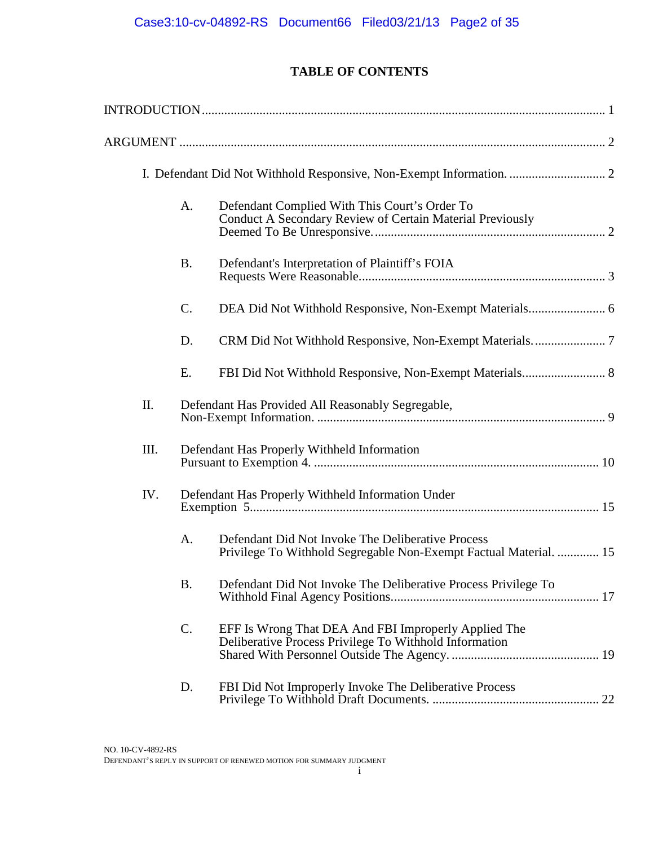# **TABLE OF CONTENTS**

|      | A.        | Defendant Complied With This Court's Order To<br>Conduct A Secondary Review of Certain Material Previously             |  |
|------|-----------|------------------------------------------------------------------------------------------------------------------------|--|
|      | <b>B.</b> | Defendant's Interpretation of Plaintiff's FOIA                                                                         |  |
|      | C.        |                                                                                                                        |  |
|      | D.        |                                                                                                                        |  |
|      | E.        |                                                                                                                        |  |
| Π.   |           | Defendant Has Provided All Reasonably Segregable,                                                                      |  |
| III. |           | Defendant Has Properly Withheld Information                                                                            |  |
| IV.  |           | Defendant Has Properly Withheld Information Under                                                                      |  |
|      | A.        | Defendant Did Not Invoke The Deliberative Process<br>Privilege To Withhold Segregable Non-Exempt Factual Material.  15 |  |
|      | B.        | Defendant Did Not Invoke The Deliberative Process Privilege To                                                         |  |
|      | C.        | EFF Is Wrong That DEA And FBI Improperly Applied The<br>Deliberative Process Privilege To Withhold Information         |  |
|      | D.        | FBI Did Not Improperly Invoke The Deliberative Process                                                                 |  |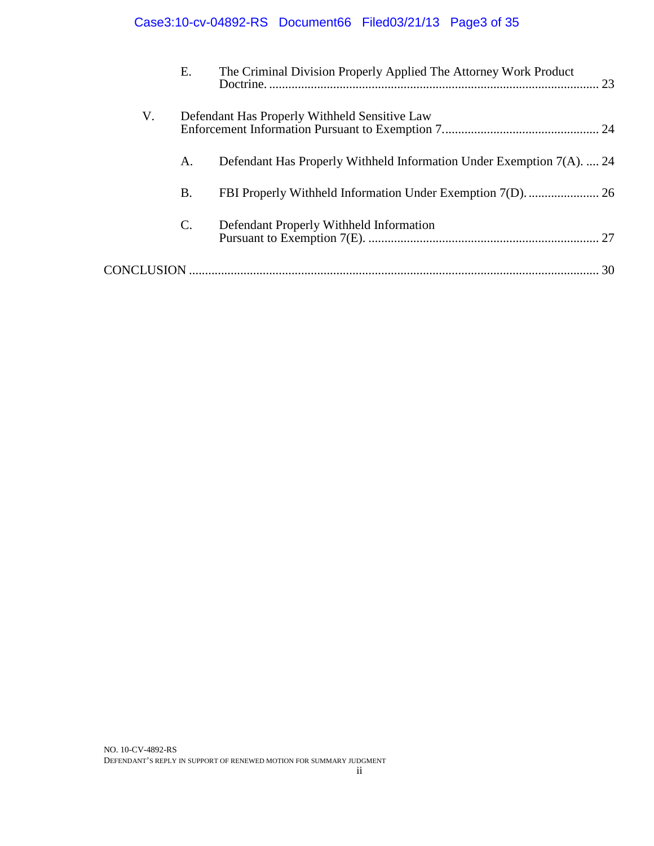# Case3:10-cv-04892-RS Document66 Filed03/21/13 Page3 of 35

|    | Е.             | The Criminal Division Properly Applied The Attorney Work Product      | 23 |
|----|----------------|-----------------------------------------------------------------------|----|
| V. |                | Defendant Has Properly Withheld Sensitive Law                         |    |
|    | А.             | Defendant Has Properly Withheld Information Under Exemption 7(A).  24 |    |
|    | <b>B.</b>      |                                                                       |    |
|    | $\mathbf{C}$ . | Defendant Properly Withheld Information                               |    |
|    |                |                                                                       |    |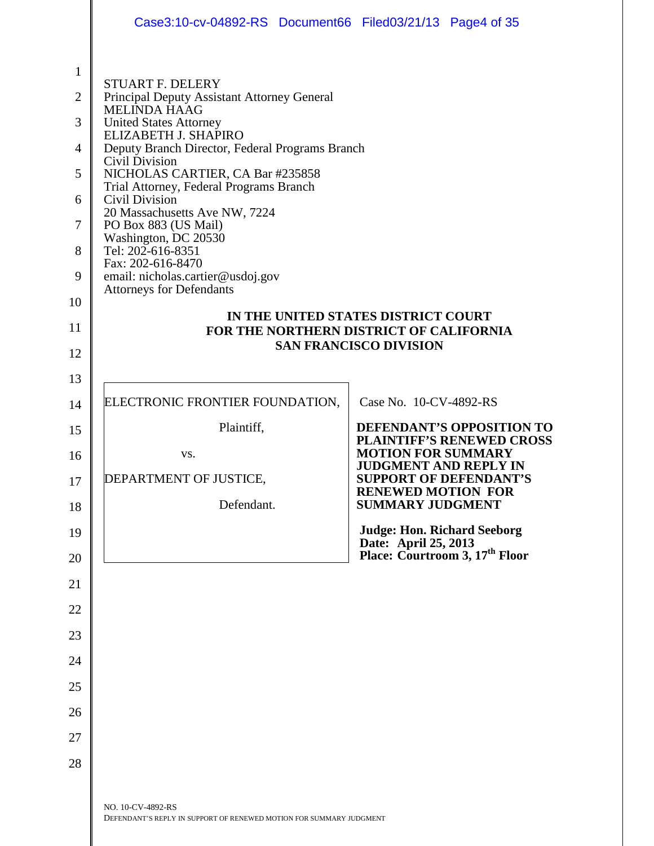|                                                                                     | Case3:10-cv-04892-RS Document66 Filed03/21/13 Page4 of 35                                                                                                                                                                                                                                                                                                                                                                                                                                                                       |                                                                                                                 |
|-------------------------------------------------------------------------------------|---------------------------------------------------------------------------------------------------------------------------------------------------------------------------------------------------------------------------------------------------------------------------------------------------------------------------------------------------------------------------------------------------------------------------------------------------------------------------------------------------------------------------------|-----------------------------------------------------------------------------------------------------------------|
| $\mathbf{1}$<br>$\overline{2}$<br>3<br>4<br>5<br>6<br>7<br>8<br>9<br>10<br>11<br>12 | <b>STUART F. DELERY</b><br>Principal Deputy Assistant Attorney General<br><b>MELINDA HAAG</b><br><b>United States Attorney</b><br>ELIZABETH J. SHAPIRO<br>Deputy Branch Director, Federal Programs Branch<br>Civil Division<br>NICHOLAS CARTIER, CA Bar #235858<br>Trial Attorney, Federal Programs Branch<br>Civil Division<br>20 Massachusetts Ave NW, 7224<br>PO Box 883 (US Mail)<br>Washington, DC 20530<br>Tel: 202-616-8351<br>Fax: 202-616-8470<br>email: nicholas.cartier@usdoj.gov<br><b>Attorneys for Defendants</b> | IN THE UNITED STATES DISTRICT COURT<br>FOR THE NORTHERN DISTRICT OF CALIFORNIA<br><b>SAN FRANCISCO DIVISION</b> |
| 13                                                                                  |                                                                                                                                                                                                                                                                                                                                                                                                                                                                                                                                 |                                                                                                                 |
| 14                                                                                  | ELECTRONIC FRONTIER FOUNDATION,                                                                                                                                                                                                                                                                                                                                                                                                                                                                                                 | Case No. 10-CV-4892-RS                                                                                          |
| 15                                                                                  | Plaintiff,                                                                                                                                                                                                                                                                                                                                                                                                                                                                                                                      | DEFENDANT'S OPPOSITION TO                                                                                       |
| 16                                                                                  | VS.                                                                                                                                                                                                                                                                                                                                                                                                                                                                                                                             | <b>PLAINTIFF'S RENEWED CROSS</b><br><b>MOTION FOR SUMMARY</b>                                                   |
| 17                                                                                  | DEPARTMENT OF JUSTICE,                                                                                                                                                                                                                                                                                                                                                                                                                                                                                                          | <b>JUDGMENT AND REPLY IN</b><br><b>SUPPORT OF DEFENDANT'S</b>                                                   |
| 18                                                                                  | Defendant.                                                                                                                                                                                                                                                                                                                                                                                                                                                                                                                      | <b>RENEWED MOTION FOR</b><br><b>SUMMARY JUDGMENT</b>                                                            |
| 19                                                                                  |                                                                                                                                                                                                                                                                                                                                                                                                                                                                                                                                 | <b>Judge: Hon. Richard Seeborg</b>                                                                              |
| 20                                                                                  |                                                                                                                                                                                                                                                                                                                                                                                                                                                                                                                                 | Date: April 25, 2013<br>Place: Courtroom 3, 17 <sup>th</sup> Floor                                              |
| 21                                                                                  |                                                                                                                                                                                                                                                                                                                                                                                                                                                                                                                                 |                                                                                                                 |
| 22                                                                                  |                                                                                                                                                                                                                                                                                                                                                                                                                                                                                                                                 |                                                                                                                 |
| 23                                                                                  |                                                                                                                                                                                                                                                                                                                                                                                                                                                                                                                                 |                                                                                                                 |
| 24                                                                                  |                                                                                                                                                                                                                                                                                                                                                                                                                                                                                                                                 |                                                                                                                 |
| 25                                                                                  |                                                                                                                                                                                                                                                                                                                                                                                                                                                                                                                                 |                                                                                                                 |
| 26                                                                                  |                                                                                                                                                                                                                                                                                                                                                                                                                                                                                                                                 |                                                                                                                 |
| 27                                                                                  |                                                                                                                                                                                                                                                                                                                                                                                                                                                                                                                                 |                                                                                                                 |
| 28                                                                                  |                                                                                                                                                                                                                                                                                                                                                                                                                                                                                                                                 |                                                                                                                 |
|                                                                                     | NO. 10-CV-4892-RS<br>DEFENDANT'S REPLY IN SUPPORT OF RENEWED MOTION FOR SUMMARY JUDGMENT                                                                                                                                                                                                                                                                                                                                                                                                                                        |                                                                                                                 |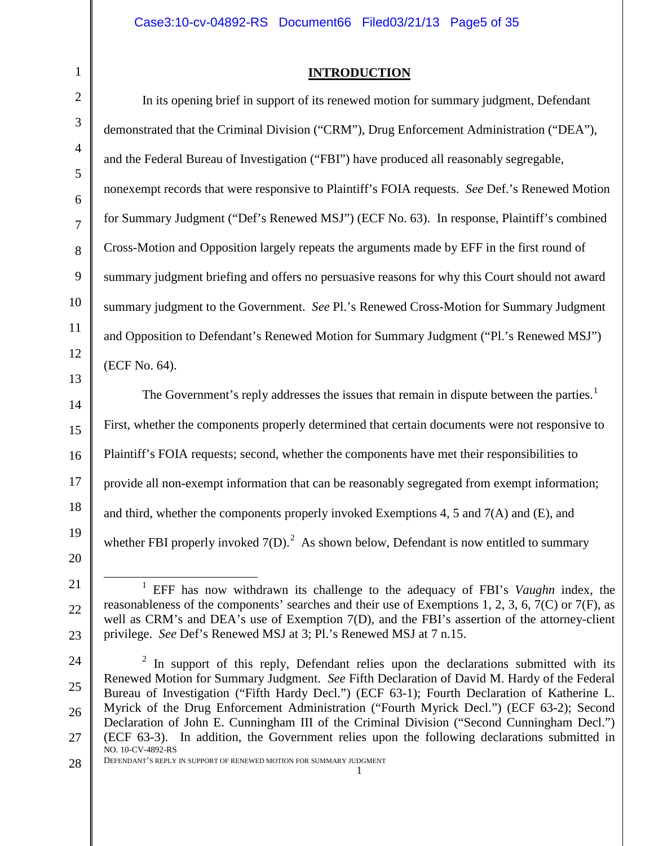## **INTRODUCTION**

In its opening brief in support of its renewed motion for summary judgment, Defendant demonstrated that the Criminal Division ("CRM"), Drug Enforcement Administration ("DEA"), and the Federal Bureau of Investigation ("FBI") have produced all reasonably segregable, nonexempt records that were responsive to Plaintiff's FOIA requests. *See* Def.'s Renewed Motion for Summary Judgment ("Def's Renewed MSJ") (ECF No. 63). In response, Plaintiff's combined Cross-Motion and Opposition largely repeats the arguments made by EFF in the first round of summary judgment briefing and offers no persuasive reasons for why this Court should not award summary judgment to the Government. *See* Pl.'s Renewed Cross-Motion for Summary Judgment and Opposition to Defendant's Renewed Motion for Summary Judgment ("Pl.'s Renewed MSJ") (ECF No. 64).

The Government's reply addresses the issues that remain in dispute between the parties.<sup>[1](#page-4-0)</sup> First, whether the components properly determined that certain documents were not responsive to Plaintiff's FOIA requests; second, whether the components have met their responsibilities to provide all non-exempt information that can be reasonably segregated from exempt information; and third, whether the components properly invoked Exemptions 4, 5 and  $7(A)$  and (E), and whether FBI properly invoked  $7(D)$ .<sup>[2](#page-4-1)</sup> As shown below, Defendant is now entitled to summary

 $\overline{a}$ 

1

<span id="page-4-0"></span><sup>20</sup> 21

<sup>1</sup> EFF has now withdrawn its challenge to the adequacy of FBI's *Vaughn* index, the reasonableness of the components' searches and their use of Exemptions 1, 2, 3, 6, 7(C) or 7(F), as well as CRM's and DEA's use of Exemption 7(D), and the FBI's assertion of the attorney-client privilege. *See* Def's Renewed MSJ at 3; Pl.'s Renewed MSJ at 7 n.15.

<span id="page-4-1"></span><sup>27</sup> In support of this reply, Defendant relies upon the declarations submitted with its Renewed Motion for Summary Judgment. *See* Fifth Declaration of David M. Hardy of the Federal Bureau of Investigation ("Fifth Hardy Decl.") (ECF 63-1); Fourth Declaration of Katherine L. Myrick of the Drug Enforcement Administration ("Fourth Myrick Decl.") (ECF 63-2); Second Declaration of John E. Cunningham III of the Criminal Division ("Second Cunningham Decl.") (ECF 63-3). In addition, the Government relies upon the following declarations submitted in NO. 10-CV-4892-RS

DEFENDANT'S REPLY IN SUPPORT OF RENEWED MOTION FOR SUMMARY JUDGMENT 1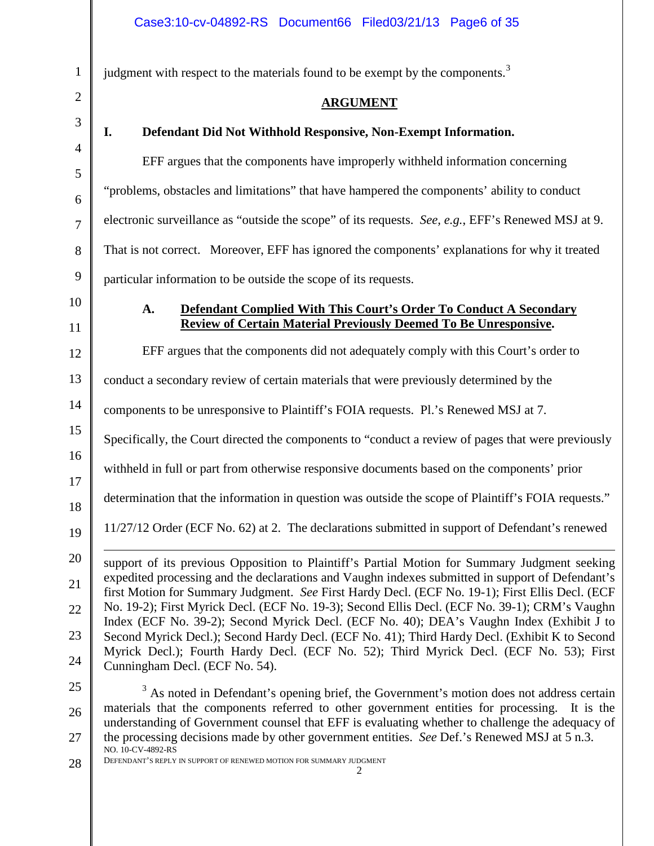judgment with respect to the materials found to be exempt by the components.<sup>[3](#page-5-0)</sup>

## **ARGUMENT**

1

2

# **I. Defendant Did Not Withhold Responsive, Non-Exempt Information.**

EFF argues that the components have improperly withheld information concerning "problems, obstacles and limitations" that have hampered the components' ability to conduct electronic surveillance as "outside the scope" of its requests. *See, e.g.*, EFF's Renewed MSJ at 9. That is not correct. Moreover, EFF has ignored the components' explanations for why it treated particular information to be outside the scope of its requests.

# **A. Defendant Complied With This Court's Order To Conduct A Secondary Review of Certain Material Previously Deemed To Be Unresponsive.**

EFF argues that the components did not adequately comply with this Court's order to

conduct a secondary review of certain materials that were previously determined by the

components to be unresponsive to Plaintiff's FOIA requests. Pl.'s Renewed MSJ at 7.

Specifically, the Court directed the components to "conduct a review of pages that were previously

withheld in full or part from otherwise responsive documents based on the components' prior

determination that the information in question was outside the scope of Plaintiff's FOIA requests."

11/27/12 Order (ECF No. 62) at 2. The declarations submitted in support of Defendant's renewed

support of its previous Opposition to Plaintiff's Partial Motion for Summary Judgment seeking expedited processing and the declarations and Vaughn indexes submitted in support of Defendant's first Motion for Summary Judgment. *See* First Hardy Decl. (ECF No. 19-1); First Ellis Decl. (ECF No. 19-2); First Myrick Decl. (ECF No. 19-3); Second Ellis Decl. (ECF No. 39-1); CRM's Vaughn Index (ECF No. 39-2); Second Myrick Decl. (ECF No. 40); DEA's Vaughn Index (Exhibit J to Second Myrick Decl.); Second Hardy Decl. (ECF No. 41); Third Hardy Decl. (Exhibit K to Second Myrick Decl.); Fourth Hardy Decl. (ECF No. 52); Third Myrick Decl. (ECF No. 53); First Cunningham Decl. (ECF No. 54).  $\overline{a}$ 

<span id="page-5-0"></span>25

 $3$  As noted in Defendant's opening brief, the Government's motion does not address certain materials that the components referred to other government entities for processing. It is the understanding of Government counsel that EFF is evaluating whether to challenge the adequacy of the processing decisions made by other government entities. *See* Def.'s Renewed MSJ at 5 n.3. NO. 10-CV-4892-RS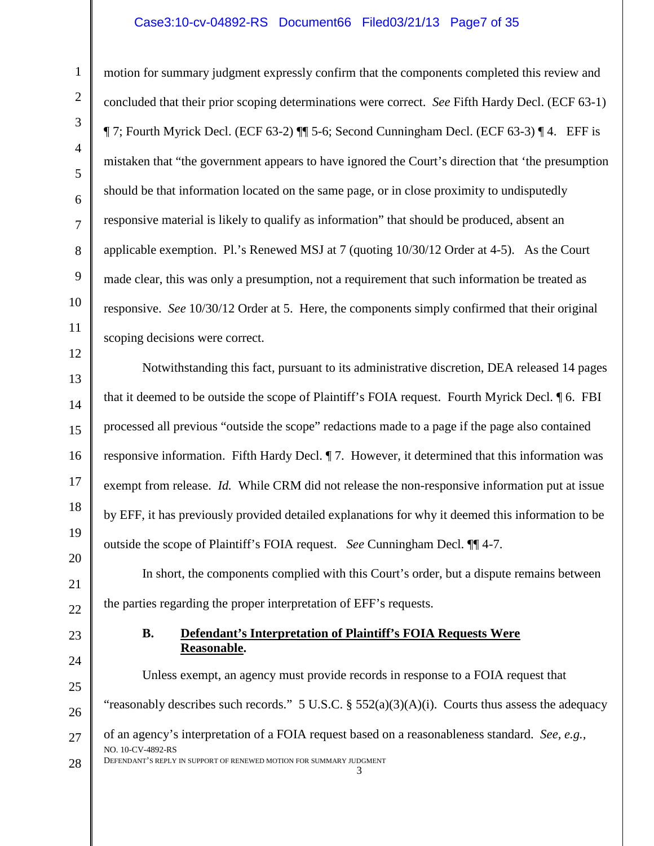#### Case3:10-cv-04892-RS Document66 Filed03/21/13 Page7 of 35

motion for summary judgment expressly confirm that the components completed this review and concluded that their prior scoping determinations were correct. *See* Fifth Hardy Decl. (ECF 63-1) ¶ 7; Fourth Myrick Decl. (ECF 63-2) ¶¶ 5-6; Second Cunningham Decl. (ECF 63-3) ¶ 4. EFF is mistaken that "the government appears to have ignored the Court's direction that 'the presumption should be that information located on the same page, or in close proximity to undisputedly responsive material is likely to qualify as information" that should be produced, absent an applicable exemption. Pl.'s Renewed MSJ at 7 (quoting 10/30/12 Order at 4-5). As the Court made clear, this was only a presumption, not a requirement that such information be treated as responsive. *See* 10/30/12 Order at 5. Here, the components simply confirmed that their original scoping decisions were correct.

Notwithstanding this fact, pursuant to its administrative discretion, DEA released 14 pages that it deemed to be outside the scope of Plaintiff's FOIA request. Fourth Myrick Decl. ¶ 6. FBI processed all previous "outside the scope" redactions made to a page if the page also contained responsive information. Fifth Hardy Decl. ¶ 7. However, it determined that this information was exempt from release. *Id.* While CRM did not release the non-responsive information put at issue by EFF, it has previously provided detailed explanations for why it deemed this information to be outside the scope of Plaintiff's FOIA request. *See* Cunningham Decl. ¶¶ 4-7.

In short, the components complied with this Court's order, but a dispute remains between the parties regarding the proper interpretation of EFF's requests.

#### **B. Defendant's Interpretation of Plaintiff's FOIA Requests Were Reasonable.**

28 Unless exempt, an agency must provide records in response to a FOIA request that "reasonably describes such records." 5 U.S.C. §  $552(a)(3)(A)(i)$ . Courts thus assess the adequacy of an agency's interpretation of a FOIA request based on a reasonableness standard. *See, e.g.,*  NO. 10-CV-4892-RS DEFENDANT'S REPLY IN SUPPORT OF RENEWED MOTION FOR SUMMARY JUDGMENT 3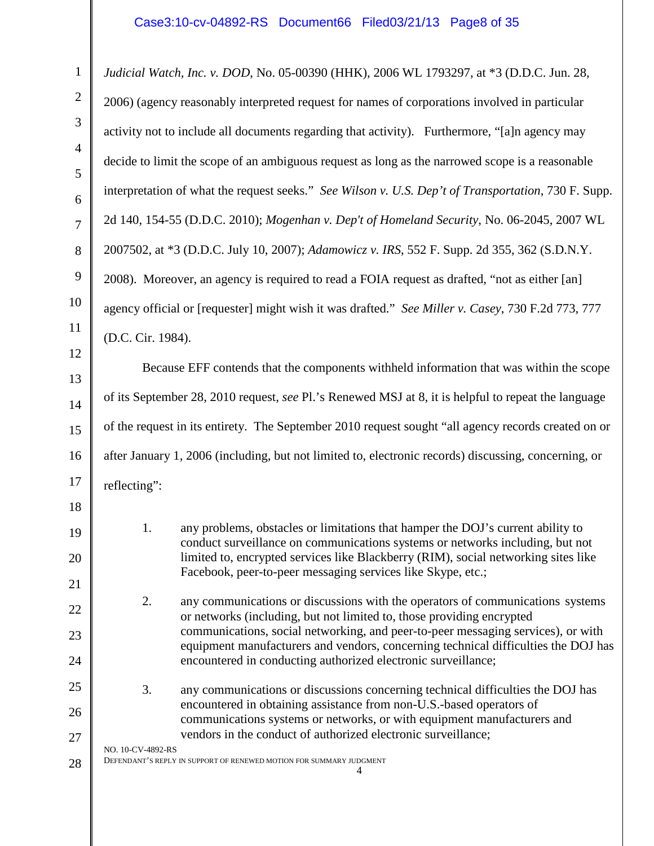#### Case3:10-cv-04892-RS Document66 Filed03/21/13 Page8 of 35

28 *Judicial Watch, Inc. v. DOD*, No. 05-00390 (HHK), 2006 WL 1793297, at \*3 (D.D.C. Jun. 28, 2006) (agency reasonably interpreted request for names of corporations involved in particular activity not to include all documents regarding that activity). Furthermore, "[a]n agency may decide to limit the scope of an ambiguous request as long as the narrowed scope is a reasonable interpretation of what the request seeks." *See Wilson v. U.S. Dep't of Transportation*, 730 F. Supp. 2d 140, 154-55 (D.D.C. 2010); *Mogenhan v. Dep't of Homeland Security*, No. 06-2045, 2007 WL 2007502, at \*3 (D.D.C. July 10, 2007); *Adamowicz v. IRS*, 552 F. Supp. 2d 355, 362 (S.D.N.Y. 2008). Moreover, an agency is required to read a FOIA request as drafted, "not as either [an] agency official or [requester] might wish it was drafted." *See Miller v. Casey*, 730 F.2d 773, 777 (D.C. Cir. 1984). Because EFF contends that the components withheld information that was within the scope of its September 28, 2010 request, *see* Pl.'s Renewed MSJ at 8, it is helpful to repeat the language of the request in its entirety. The September 2010 request sought "all agency records created on or after January 1, 2006 (including, but not limited to, electronic records) discussing, concerning, or reflecting": 1. any problems, obstacles or limitations that hamper the DOJ's current ability to conduct surveillance on communications systems or networks including, but not limited to, encrypted services like Blackberry (RIM), social networking sites like Facebook, peer-to-peer messaging services like Skype, etc.; 2. any communications or discussions with the operators of communications systems or networks (including, but not limited to, those providing encrypted communications, social networking, and peer-to-peer messaging services), or with equipment manufacturers and vendors, concerning technical difficulties the DOJ has encountered in conducting authorized electronic surveillance; 3. any communications or discussions concerning technical difficulties the DOJ has encountered in obtaining assistance from non-U.S.-based operators of communications systems or networks, or with equipment manufacturers and vendors in the conduct of authorized electronic surveillance; NO. 10-CV-4892-RS DEFENDANT'S REPLY IN SUPPORT OF RENEWED MOTION FOR SUMMARY JUDGMENT 4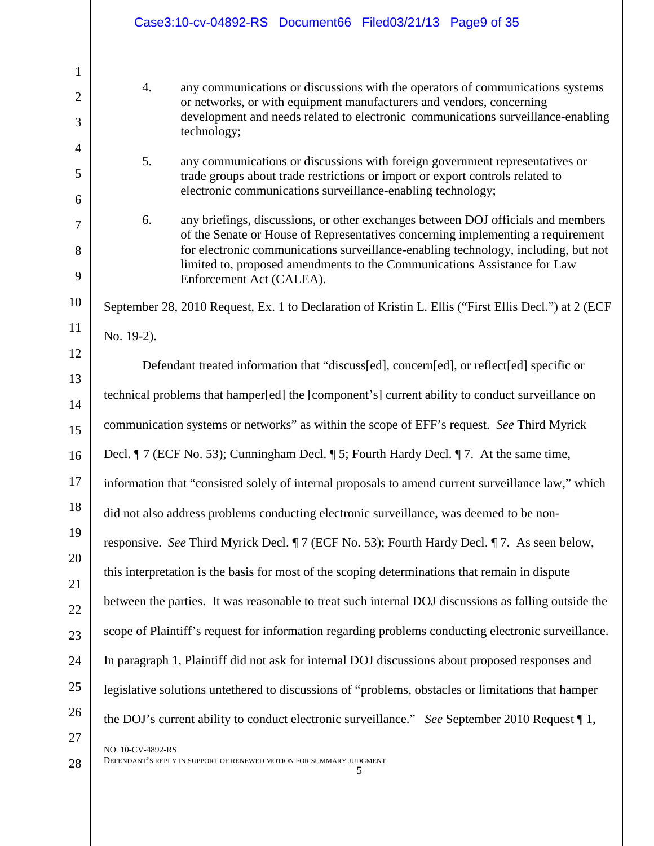|                                | Case3:10-cv-04892-RS Document66 Filed03/21/13 Page9 of 35                                                                                                                 |
|--------------------------------|---------------------------------------------------------------------------------------------------------------------------------------------------------------------------|
| $\mathbf{1}$<br>$\overline{2}$ | 4.<br>any communications or discussions with the operators of communications systems<br>or networks, or with equipment manufacturers and vendors, concerning              |
| 3                              | development and needs related to electronic communications surveillance-enabling<br>technology;                                                                           |
| 4                              | 5.<br>any communications or discussions with foreign government representatives or                                                                                        |
| 5<br>6                         | trade groups about trade restrictions or import or export controls related to<br>electronic communications surveillance-enabling technology;                              |
| $\overline{7}$                 | any briefings, discussions, or other exchanges between DOJ officials and members<br>6.<br>of the Senate or House of Representatives concerning implementing a requirement |
| 8                              | for electronic communications surveillance-enabling technology, including, but not<br>limited to, proposed amendments to the Communications Assistance for Law            |
| 9                              | Enforcement Act (CALEA).                                                                                                                                                  |
| 10                             | September 28, 2010 Request, Ex. 1 to Declaration of Kristin L. Ellis ("First Ellis Decl.") at 2 (ECF                                                                      |
| 11                             | No. 19-2).                                                                                                                                                                |
| 12<br>13                       | Defendant treated information that "discuss[ed], concern[ed], or reflect[ed] specific or                                                                                  |
| 14                             | technical problems that hamper[ed] the [component's] current ability to conduct surveillance on                                                                           |
| 15                             | communication systems or networks" as within the scope of EFF's request. See Third Myrick                                                                                 |
| 16                             | Decl. ¶ 7 (ECF No. 53); Cunningham Decl. ¶ 5; Fourth Hardy Decl. ¶ 7. At the same time,                                                                                   |
| 17                             | information that "consisted solely of internal proposals to amend current surveillance law," which                                                                        |
| 18                             | did not also address problems conducting electronic surveillance, was deemed to be non-                                                                                   |
| 19                             | responsive. See Third Myrick Decl. ¶ 7 (ECF No. 53); Fourth Hardy Decl. ¶ 7. As seen below,                                                                               |
| 20<br>21                       | this interpretation is the basis for most of the scoping determinations that remain in dispute                                                                            |
| 22                             | between the parties. It was reasonable to treat such internal DOJ discussions as falling outside the                                                                      |
| 23                             | scope of Plaintiff's request for information regarding problems conducting electronic surveillance.                                                                       |
| 24                             | In paragraph 1, Plaintiff did not ask for internal DOJ discussions about proposed responses and                                                                           |
| 25                             | legislative solutions unterhered to discussions of "problems, obstacles or limitations that hamper                                                                        |
| 26                             | the DOJ's current ability to conduct electronic surveillance." See September 2010 Request $\P$ 1,                                                                         |
| 27<br>28                       | NO. 10-CV-4892-RS<br>DEFENDANT'S REPLY IN SUPPORT OF RENEWED MOTION FOR SUMMARY JUDGMENT<br>5                                                                             |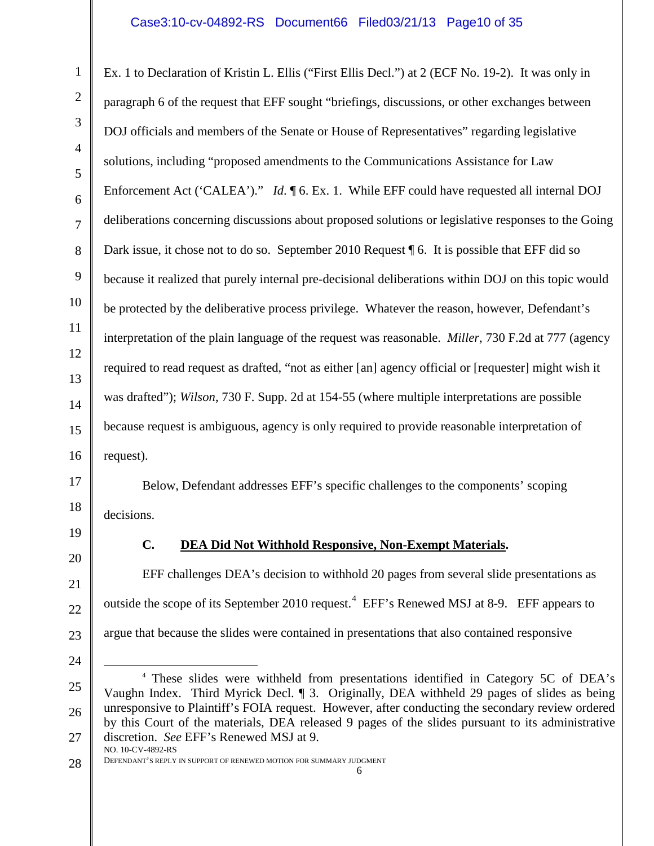#### Case3:10-cv-04892-RS Document66 Filed03/21/13 Page10 of 35

Ex. 1 to Declaration of Kristin L. Ellis ("First Ellis Decl.") at 2 (ECF No. 19-2). It was only in paragraph 6 of the request that EFF sought "briefings, discussions, or other exchanges between DOJ officials and members of the Senate or House of Representatives" regarding legislative solutions, including "proposed amendments to the Communications Assistance for Law Enforcement Act ('CALEA')." *Id.*  $\phi$  6. Ex. 1. While EFF could have requested all internal DOJ deliberations concerning discussions about proposed solutions or legislative responses to the Going Dark issue, it chose not to do so. September 2010 Request  $\phi$  6. It is possible that EFF did so because it realized that purely internal pre-decisional deliberations within DOJ on this topic would be protected by the deliberative process privilege. Whatever the reason, however, Defendant's interpretation of the plain language of the request was reasonable. *Miller*, 730 F.2d at 777 (agency required to read request as drafted, "not as either [an] agency official or [requester] might wish it was drafted"); *Wilson*, 730 F. Supp. 2d at 154-55 (where multiple interpretations are possible because request is ambiguous, agency is only required to provide reasonable interpretation of request).

Below, Defendant addresses EFF's specific challenges to the components' scoping decisions.

1

2

3

4

5

6

7

8

9

10

11

12

13

14

15

16

17

18

19

20

21

22

23

24

#### **C. DEA Did Not Withhold Responsive, Non-Exempt Materials.**

EFF challenges DEA's decision to withhold 20 pages from several slide presentations as outside the scope of its September 2010 request.<sup>[4](#page-9-0)</sup> EFF's Renewed MSJ at 8-9. EFF appears to argue that because the slides were contained in presentations that also contained responsive

<span id="page-9-0"></span><sup>25</sup> 26 27 <sup>4</sup> These slides were withheld from presentations identified in Category 5C of DEA's Vaughn Index. Third Myrick Decl. ¶ 3. Originally, DEA withheld 29 pages of slides as being unresponsive to Plaintiff's FOIA request. However, after conducting the secondary review ordered by this Court of the materials, DEA released 9 pages of the slides pursuant to its administrative discretion. *See* EFF's Renewed MSJ at 9. NO. 10-CV-4892-RS  $\overline{a}$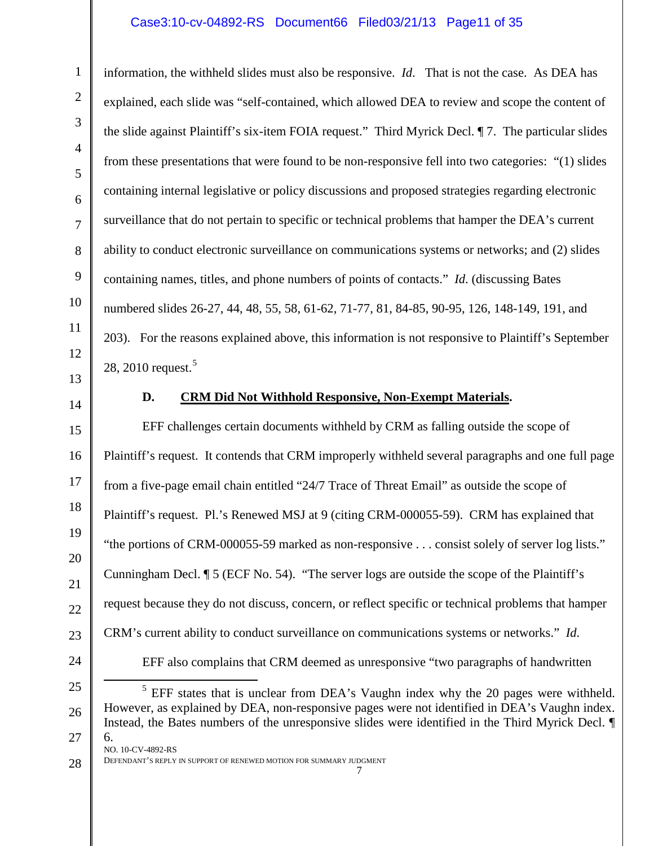# Case3:10-cv-04892-RS Document66 Filed03/21/13 Page11 of 35

information, the withheld slides must also be responsive. *Id*. That is not the case. As DEA has explained, each slide was "self-contained, which allowed DEA to review and scope the content of the slide against Plaintiff's six-item FOIA request." Third Myrick Decl. ¶ 7. The particular slides from these presentations that were found to be non-responsive fell into two categories: "(1) slides containing internal legislative or policy discussions and proposed strategies regarding electronic surveillance that do not pertain to specific or technical problems that hamper the DEA's current ability to conduct electronic surveillance on communications systems or networks; and (2) slides containing names, titles, and phone numbers of points of contacts." *Id*. (discussing Bates numbered slides 26-27, 44, 48, 55, 58, 61-62, 71-77, 81, 84-85, 90-95, 126, 148-149, 191, and 203). For the reasons explained above, this information is not responsive to Plaintiff's September 28, 2010 request.<sup>[5](#page-10-0)</sup>

14

1

2

3

4

5

6

7

8

9

10

11

12

13

15

16

17

18

19

20

21

22

23

24

#### **D. CRM Did Not Withhold Responsive, Non-Exempt Materials.**

EFF challenges certain documents withheld by CRM as falling outside the scope of Plaintiff's request. It contends that CRM improperly withheld several paragraphs and one full page from a five-page email chain entitled "24/7 Trace of Threat Email" as outside the scope of Plaintiff's request. Pl.'s Renewed MSJ at 9 (citing CRM-000055-59). CRM has explained that "the portions of CRM-000055-59 marked as non-responsive . . . consist solely of server log lists." Cunningham Decl. ¶ 5 (ECF No. 54). "The server logs are outside the scope of the Plaintiff's request because they do not discuss, concern, or reflect specific or technical problems that hamper CRM's current ability to conduct surveillance on communications systems or networks." *Id*. EFF also complains that CRM deemed as unresponsive "two paragraphs of handwritten

<span id="page-10-0"></span>25 26 27  $<sup>5</sup>$  EFF states that is unclear from DEA's Vaughn index why the 20 pages were withheld.</sup> However, as explained by DEA, non-responsive pages were not identified in DEA's Vaughn index. Instead, the Bates numbers of the unresponsive slides were identified in the Third Myrick Decl. ¶ 6. NO. 10-CV-4892-RS  $\overline{a}$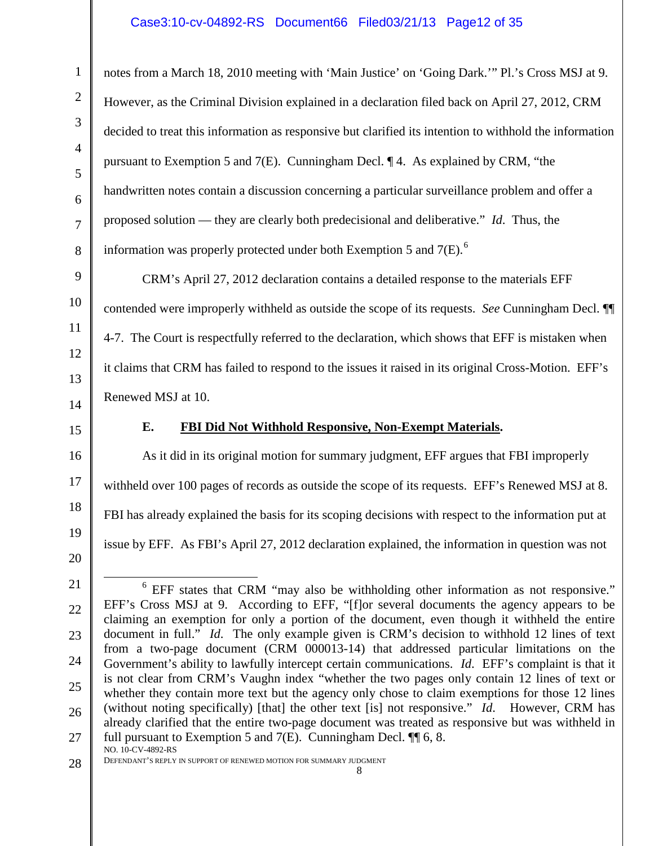## Case3:10-cv-04892-RS Document66 Filed03/21/13 Page12 of 35

notes from a March 18, 2010 meeting with 'Main Justice' on 'Going Dark.'" Pl.'s Cross MSJ at 9. However, as the Criminal Division explained in a declaration filed back on April 27, 2012, CRM decided to treat this information as responsive but clarified its intention to withhold the information pursuant to Exemption 5 and 7(E). Cunningham Decl. ¶ 4. As explained by CRM, "the handwritten notes contain a discussion concerning a particular surveillance problem and offer a proposed solution — they are clearly both predecisional and deliberative." *Id*. Thus, the information was properly protected under both Exemption 5 and  $7(E)$ .<sup>[6](#page-11-0)</sup>

CRM's April 27, 2012 declaration contains a detailed response to the materials EFF contended were improperly withheld as outside the scope of its requests. *See* Cunningham Decl. ¶¶ 4-7. The Court is respectfully referred to the declaration, which shows that EFF is mistaken when it claims that CRM has failed to respond to the issues it raised in its original Cross-Motion. EFF's Renewed MSJ at 10.

#### **E. FBI Did Not Withhold Responsive, Non-Exempt Materials.**

As it did in its original motion for summary judgment, EFF argues that FBI improperly withheld over 100 pages of records as outside the scope of its requests. EFF's Renewed MSJ at 8. FBI has already explained the basis for its scoping decisions with respect to the information put at issue by EFF. As FBI's April 27, 2012 declaration explained, the information in question was not

 $\overline{a}$ 

28 DEFENDANT'S REPLY IN SUPPORT OF RENEWED MOTION FOR SUMMARY JUDGMENT 8

<sup>20</sup> 21

<span id="page-11-0"></span><sup>&</sup>lt;sup>6</sup> EFF states that CRM "may also be withholding other information as not responsive." EFF's Cross MSJ at 9. According to EFF, "[f]or several documents the agency appears to be claiming an exemption for only a portion of the document, even though it withheld the entire document in full." *Id*. The only example given is CRM's decision to withhold 12 lines of text from a two-page document (CRM 000013-14) that addressed particular limitations on the Government's ability to lawfully intercept certain communications. *Id*. EFF's complaint is that it is not clear from CRM's Vaughn index "whether the two pages only contain 12 lines of text or whether they contain more text but the agency only chose to claim exemptions for those 12 lines (without noting specifically) [that] the other text [is] not responsive." *Id*. However, CRM has already clarified that the entire two-page document was treated as responsive but was withheld in full pursuant to Exemption 5 and  $7(E)$ . Cunningham Decl.  $\P$  6, 8. NO. 10-CV-4892-RS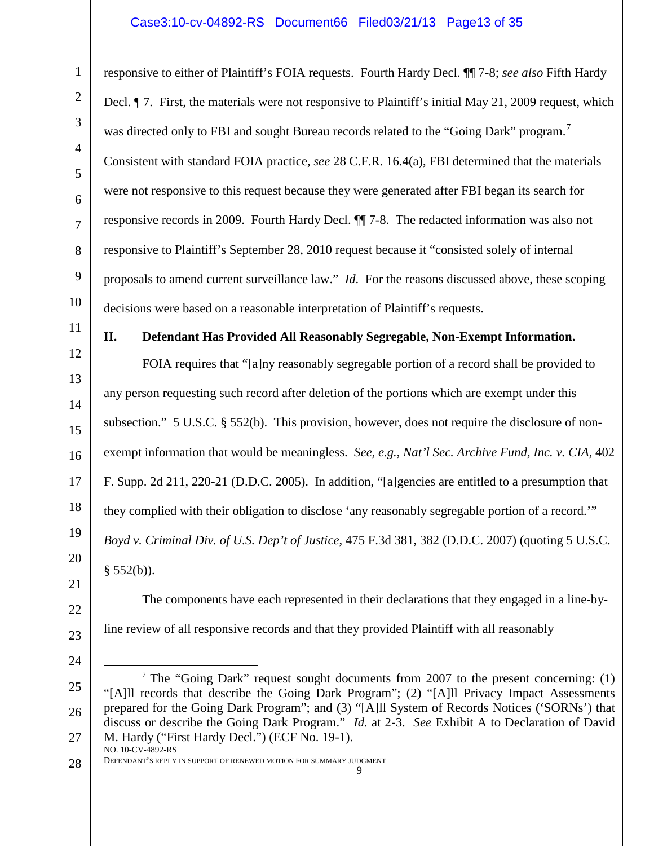#### Case3:10-cv-04892-RS Document66 Filed03/21/13 Page13 of 35

responsive to either of Plaintiff's FOIA requests. Fourth Hardy Decl. ¶¶ 7-8; *see also* Fifth Hardy Decl. ¶ 7. First, the materials were not responsive to Plaintiff's initial May 21, 2009 request, which was directed only to FBI and sought Bureau records related to the "Going Dark" program.<sup>[7](#page-12-0)</sup> Consistent with standard FOIA practice, *see* 28 C.F.R. 16.4(a), FBI determined that the materials were not responsive to this request because they were generated after FBI began its search for responsive records in 2009. Fourth Hardy Decl. ¶¶ 7-8. The redacted information was also not responsive to Plaintiff's September 28, 2010 request because it "consisted solely of internal proposals to amend current surveillance law." *Id*. For the reasons discussed above, these scoping decisions were based on a reasonable interpretation of Plaintiff's requests.

# 11

1

2

3

4

5

6

7

8

9

10

12

13

14

15

16

17

18

19

20

21

# **II. Defendant Has Provided All Reasonably Segregable, Non-Exempt Information.**

FOIA requires that "[a]ny reasonably segregable portion of a record shall be provided to any person requesting such record after deletion of the portions which are exempt under this subsection." 5 U.S.C. § 552(b). This provision, however, does not require the disclosure of nonexempt information that would be meaningless. *See, e.g.*, *Nat'l Sec. Archive Fund, Inc. v. CIA*, 402 F. Supp. 2d 211, 220-21 (D.D.C. 2005). In addition, "[a]gencies are entitled to a presumption that they complied with their obligation to disclose 'any reasonably segregable portion of a record.'" *Boyd v. Criminal Div. of U.S. Dep't of Justice*, 475 F.3d 381, 382 (D.D.C. 2007) (quoting 5 U.S.C.  $§ 552(b)$ ).

22

- 23
- <span id="page-12-0"></span>24 25

26

27

line review of all responsive records and that they provided Plaintiff with all reasonably

The components have each represented in their declarations that they engaged in a line-by-

<sup>&</sup>lt;sup>7</sup> The "Going Dark" request sought documents from 2007 to the present concerning: (1) "[A]ll records that describe the Going Dark Program"; (2) "[A]ll Privacy Impact Assessments prepared for the Going Dark Program"; and (3) "[A]ll System of Records Notices ('SORNs') that discuss or describe the Going Dark Program." *Id.* at 2-3. *See* Exhibit A to Declaration of David M. Hardy ("First Hardy Decl.") (ECF No. 19-1). NO. 10-CV-4892-RS  $\overline{a}$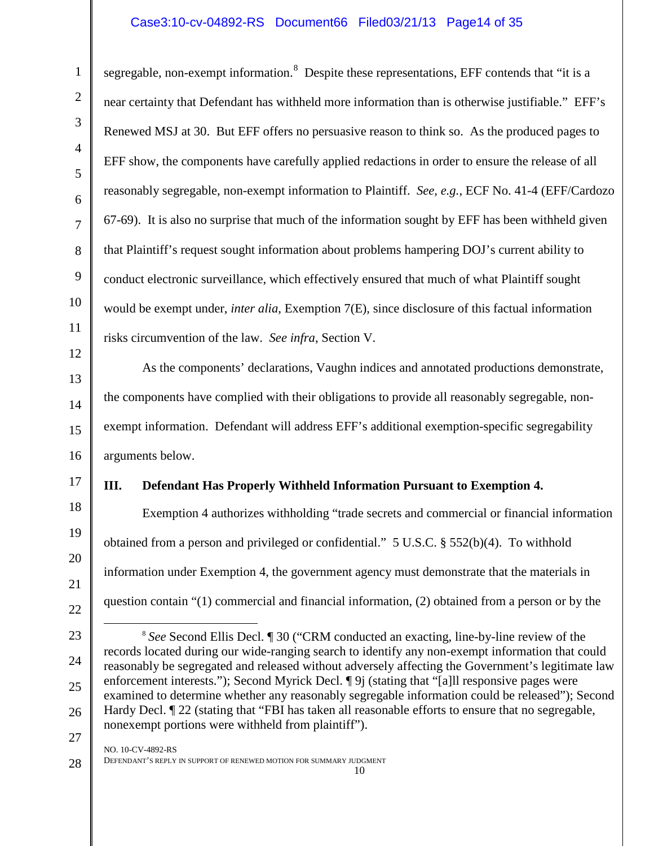## Case3:10-cv-04892-RS Document66 Filed03/21/13 Page14 of 35

segregable, non-exempt information.<sup>[8](#page-13-0)</sup> Despite these representations, EFF contends that "it is a near certainty that Defendant has withheld more information than is otherwise justifiable." EFF's Renewed MSJ at 30. But EFF offers no persuasive reason to think so. As the produced pages to EFF show, the components have carefully applied redactions in order to ensure the release of all reasonably segregable, non-exempt information to Plaintiff. *See, e.g.*, ECF No. 41-4 (EFF/Cardozo 67-69). It is also no surprise that much of the information sought by EFF has been withheld given that Plaintiff's request sought information about problems hampering DOJ's current ability to conduct electronic surveillance, which effectively ensured that much of what Plaintiff sought would be exempt under, *inter alia*, Exemption 7(E), since disclosure of this factual information risks circumvention of the law. *See infra*, Section V.

As the components' declarations, Vaughn indices and annotated productions demonstrate, the components have complied with their obligations to provide all reasonably segregable, nonexempt information. Defendant will address EFF's additional exemption-specific segregability arguments below.

#### **III. Defendant Has Properly Withheld Information Pursuant to Exemption 4.**

Exemption 4 authorizes withholding "trade secrets and commercial or financial information obtained from a person and privileged or confidential." 5 U.S.C. § 552(b)(4). To withhold information under Exemption 4, the government agency must demonstrate that the materials in question contain "(1) commercial and financial information, (2) obtained from a person or by the

1

<span id="page-13-0"></span><sup>8</sup> *See* Second Ellis Decl. ¶ 30 ("CRM conducted an exacting, line-by-line review of the records located during our wide-ranging search to identify any non-exempt information that could reasonably be segregated and released without adversely affecting the Government's legitimate law enforcement interests."); Second Myrick Decl.  $\P 9$  (stating that "[a]ll responsive pages were examined to determine whether any reasonably segregable information could be released"); Second Hardy Decl.  $\P$  22 (stating that "FBI has taken all reasonable efforts to ensure that no segregable, nonexempt portions were withheld from plaintiff").  $\overline{a}$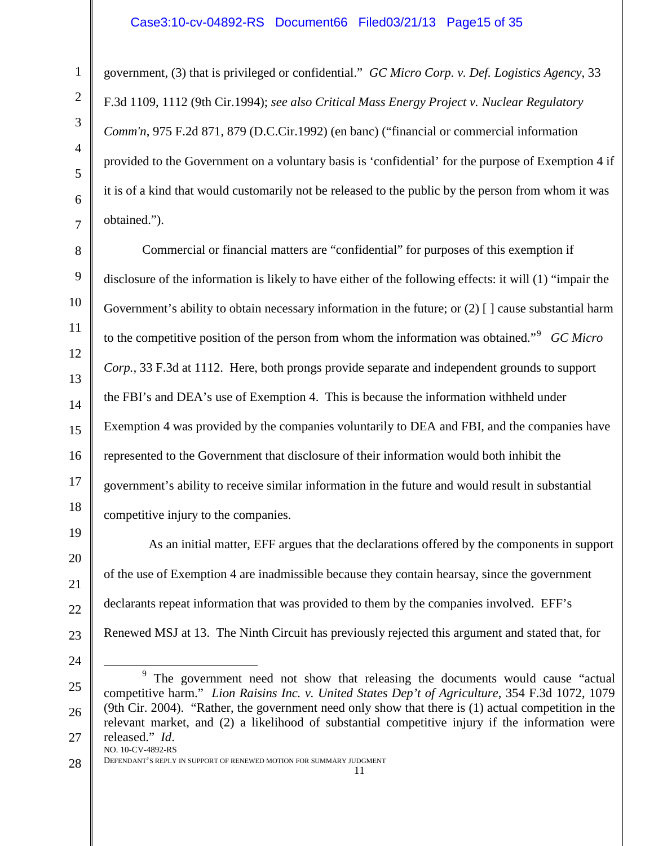#### Case3:10-cv-04892-RS Document66 Filed03/21/13 Page15 of 35

government, (3) that is privileged or confidential." *GC Micro Corp. v. Def. Logistics Agency*, 33 F.3d 1109, 1112 (9th Cir.1994); *see also Critical Mass Energy Project v. Nuclear Regulatory Comm'n*, 975 F.2d 871, 879 (D.C.Cir.1992) (en banc) ("financial or commercial information provided to the Government on a voluntary basis is 'confidential' for the purpose of Exemption 4 if it is of a kind that would customarily not be released to the public by the person from whom it was obtained.").

Commercial or financial matters are "confidential" for purposes of this exemption if disclosure of the information is likely to have either of the following effects: it will (1) "impair the Government's ability to obtain necessary information in the future; or  $(2)$  [] cause substantial harm to the competitive position of the person from whom the information was obtained."[9](#page-14-0) *GC Micro Corp.*, 33 F.3d at 1112. Here, both prongs provide separate and independent grounds to support the FBI's and DEA's use of Exemption 4. This is because the information withheld under Exemption 4 was provided by the companies voluntarily to DEA and FBI, and the companies have represented to the Government that disclosure of their information would both inhibit the government's ability to receive similar information in the future and would result in substantial competitive injury to the companies.

 As an initial matter, EFF argues that the declarations offered by the components in support of the use of Exemption 4 are inadmissible because they contain hearsay, since the government declarants repeat information that was provided to them by the companies involved. EFF's Renewed MSJ at 13. The Ninth Circuit has previously rejected this argument and stated that, for

28

1

2

3

4

5

6

7

8

9

10

11

12

13

14

15

16

17

18

19

20

21

22

23

<span id="page-14-0"></span><sup>25</sup> 26 27 <sup>9</sup> The government need not show that releasing the documents would cause "actual" competitive harm." *Lion Raisins Inc. v. United States Dep't of Agriculture*, 354 F.3d 1072, 1079 (9th Cir. 2004)."Rather, the government need only show that there is (1) actual competition in the relevant market, and (2) a likelihood of substantial competitive injury if the information were released." *Id*. NO. 10-CV-4892-RS  $\overline{a}$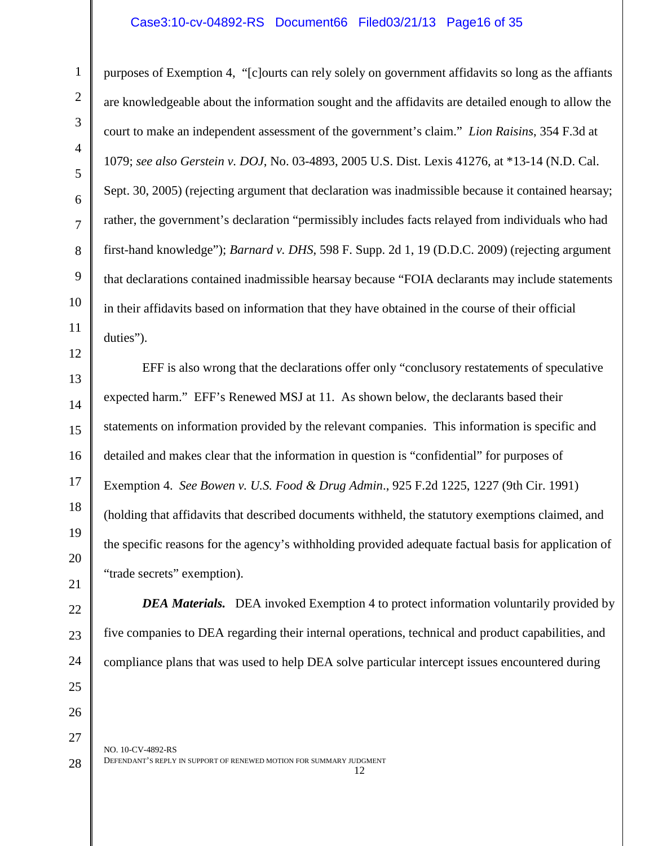#### Case3:10-cv-04892-RS Document66 Filed03/21/13 Page16 of 35

purposes of Exemption 4, "[c]ourts can rely solely on government affidavits so long as the affiants are knowledgeable about the information sought and the affidavits are detailed enough to allow the court to make an independent assessment of the government's claim." *Lion Raisins*, 354 F.3d at 1079; *see also Gerstein v. DOJ*, No. 03-4893, 2005 U.S. Dist. Lexis 41276, at \*13-14 (N.D. Cal. Sept. 30, 2005) (rejecting argument that declaration was inadmissible because it contained hearsay; rather, the government's declaration "permissibly includes facts relayed from individuals who had first-hand knowledge"); *Barnard v. DHS*, 598 F. Supp. 2d 1, 19 (D.D.C. 2009) (rejecting argument that declarations contained inadmissible hearsay because "FOIA declarants may include statements in their affidavits based on information that they have obtained in the course of their official duties").

EFF is also wrong that the declarations offer only "conclusory restatements of speculative expected harm." EFF's Renewed MSJ at 11. As shown below, the declarants based their statements on information provided by the relevant companies. This information is specific and detailed and makes clear that the information in question is "confidential" for purposes of Exemption 4. *See Bowen v. U.S. Food & Drug Admin*., 925 F.2d 1225, 1227 (9th Cir. 1991) (holding that affidavits that described documents withheld, the statutory exemptions claimed, and the specific reasons for the agency's withholding provided adequate factual basis for application of "trade secrets" exemption).

*DEA Materials.* DEA invoked Exemption 4 to protect information voluntarily provided by

five companies to DEA regarding their internal operations, technical and product capabilities, and

1

compliance plans that was used to help DEA solve particular intercept issues encountered during

NO. 10-CV-4892-RS DEFENDANT'S REPLY IN SUPPORT OF RENEWED MOTION FOR SUMMARY JUDGMENT 12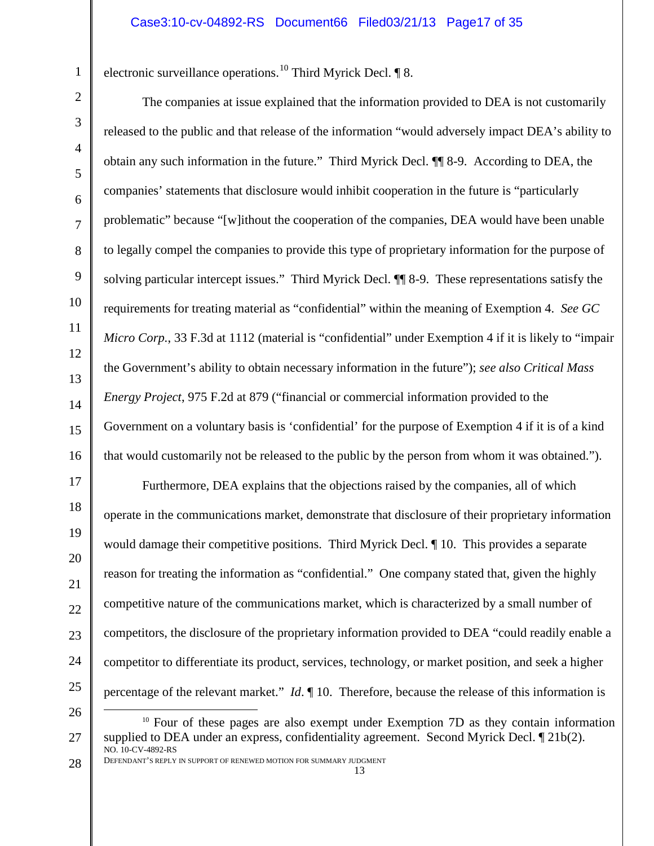electronic surveillance operations.[10](#page-16-0) Third Myrick Decl. ¶ 8.

The companies at issue explained that the information provided to DEA is not customarily released to the public and that release of the information "would adversely impact DEA's ability to obtain any such information in the future." Third Myrick Decl. ¶¶ 8-9. According to DEA, the companies' statements that disclosure would inhibit cooperation in the future is "particularly problematic" because "[w]ithout the cooperation of the companies, DEA would have been unable to legally compel the companies to provide this type of proprietary information for the purpose of solving particular intercept issues." Third Myrick Decl. ¶¶ 8-9. These representations satisfy the requirements for treating material as "confidential" within the meaning of Exemption 4. *See GC Micro Corp.*, 33 F.3d at 1112 (material is "confidential" under Exemption 4 if it is likely to "impair the Government's ability to obtain necessary information in the future"); *see also Critical Mass Energy Project*, 975 F.2d at 879 ("financial or commercial information provided to the Government on a voluntary basis is 'confidential' for the purpose of Exemption 4 if it is of a kind that would customarily not be released to the public by the person from whom it was obtained.").

Furthermore, DEA explains that the objections raised by the companies, all of which operate in the communications market, demonstrate that disclosure of their proprietary information would damage their competitive positions. Third Myrick Decl. ¶ 10. This provides a separate reason for treating the information as "confidential." One company stated that, given the highly competitive nature of the communications market, which is characterized by a small number of competitors, the disclosure of the proprietary information provided to DEA "could readily enable a competitor to differentiate its product, services, technology, or market position, and seek a higher percentage of the relevant market." *Id*. ¶ 10. Therefore, because the release of this information is  $\overline{a}$ 

1

2

3

4

5

6

7

8

9

10

11

12

13

14

15

16

17

18

19

20

21

22

23

<sup>25</sup> 26

<span id="page-16-0"></span><sup>27</sup> <sup>10</sup> Four of these pages are also exempt under Exemption 7D as they contain information supplied to DEA under an express, confidentiality agreement. Second Myrick Decl. ¶ 21b(2). NO. 10-CV-4892-RS

<sup>28</sup> DEFENDANT'S REPLY IN SUPPORT OF RENEWED MOTION FOR SUMMARY JUDGMENT 13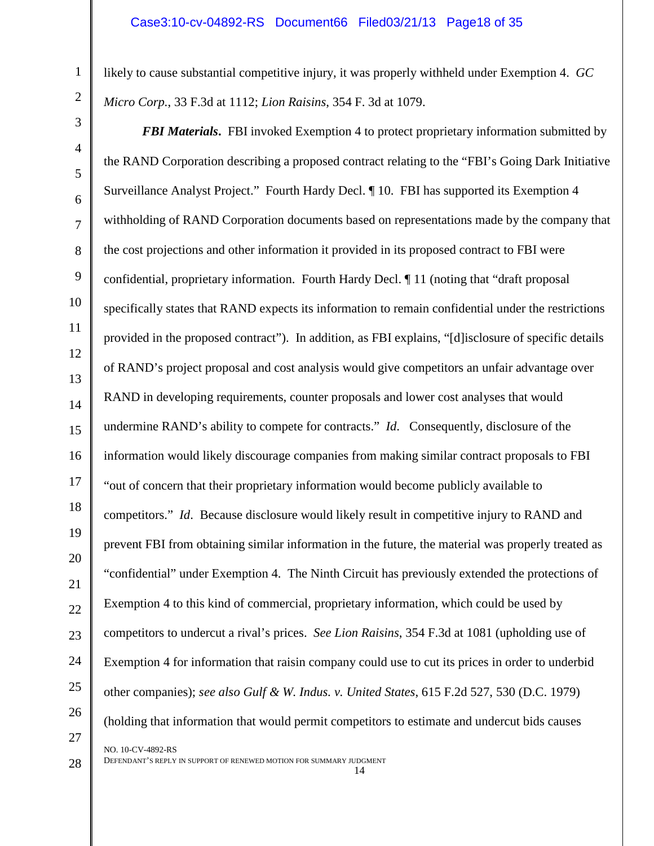likely to cause substantial competitive injury, it was properly withheld under Exemption 4. *GC Micro Corp.*, 33 F.3d at 1112; *Lion Raisins*, 354 F. 3d at 1079.

8 12 14 15 16 18 19 22 23 24 25 26 *FBI Materials***.** FBI invoked Exemption 4 to protect proprietary information submitted by the RAND Corporation describing a proposed contract relating to the "FBI's Going Dark Initiative Surveillance Analyst Project." Fourth Hardy Decl. ¶ 10. FBI has supported its Exemption 4 withholding of RAND Corporation documents based on representations made by the company that the cost projections and other information it provided in its proposed contract to FBI were confidential, proprietary information. Fourth Hardy Decl. ¶ 11 (noting that "draft proposal specifically states that RAND expects its information to remain confidential under the restrictions provided in the proposed contract"). In addition, as FBI explains, "[d]isclosure of specific details of RAND's project proposal and cost analysis would give competitors an unfair advantage over RAND in developing requirements, counter proposals and lower cost analyses that would undermine RAND's ability to compete for contracts." *Id*. Consequently, disclosure of the information would likely discourage companies from making similar contract proposals to FBI "out of concern that their proprietary information would become publicly available to competitors." *Id.* Because disclosure would likely result in competitive injury to RAND and prevent FBI from obtaining similar information in the future, the material was properly treated as "confidential" under Exemption 4. The Ninth Circuit has previously extended the protections of Exemption 4 to this kind of commercial, proprietary information, which could be used by competitors to undercut a rival's prices. *See Lion Raisins*, 354 F.3d at 1081 (upholding use of Exemption 4 for information that raisin company could use to cut its prices in order to underbid other companies); *see also Gulf & W. Indus. v. United States*, 615 F.2d 527, 530 (D.C. 1979) (holding that information that would permit competitors to estimate and undercut bids causes NO. 10-CV-4892-RS

14

DEFENDANT'S REPLY IN SUPPORT OF RENEWED MOTION FOR SUMMARY JUDGMENT

28

27

1

2

3

4

5

6

7

9

10

11

13

17

20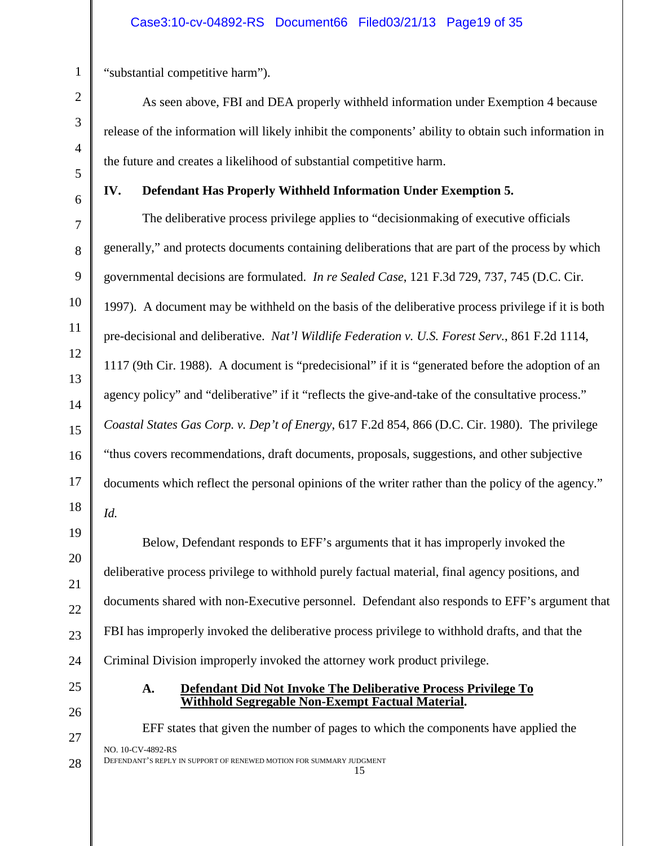"substantial competitive harm").

As seen above, FBI and DEA properly withheld information under Exemption 4 because release of the information will likely inhibit the components' ability to obtain such information in the future and creates a likelihood of substantial competitive harm.

**IV. Defendant Has Properly Withheld Information Under Exemption 5.**

The deliberative process privilege applies to "decisionmaking of executive officials generally," and protects documents containing deliberations that are part of the process by which governmental decisions are formulated. *In re Sealed Case*, 121 F.3d 729, 737, 745 (D.C. Cir. 1997). A document may be withheld on the basis of the deliberative process privilege if it is both pre-decisional and deliberative. *Nat'l Wildlife Federation v. U.S. Forest Serv.*, 861 F.2d 1114, 1117 (9th Cir. 1988). A document is "predecisional" if it is "generated before the adoption of an agency policy" and "deliberative" if it "reflects the give-and-take of the consultative process." *Coastal States Gas Corp. v. Dep't of Energy*, 617 F.2d 854, 866 (D.C. Cir. 1980). The privilege "thus covers recommendations, draft documents, proposals, suggestions, and other subjective documents which reflect the personal opinions of the writer rather than the policy of the agency." *Id.*

Below, Defendant responds to EFF's arguments that it has improperly invoked the deliberative process privilege to withhold purely factual material, final agency positions, and documents shared with non-Executive personnel. Defendant also responds to EFF's argument that FBI has improperly invoked the deliberative process privilege to withhold drafts, and that the Criminal Division improperly invoked the attorney work product privilege.

- 
- **A. Defendant Did Not Invoke The Deliberative Process Privilege To Withhold Segregable Non-Exempt Factual Material.**

EFF states that given the number of pages to which the components have applied the NO. 10-CV-4892-RS DEFENDANT'S REPLY IN SUPPORT OF RENEWED MOTION FOR SUMMARY JUDGMENT 15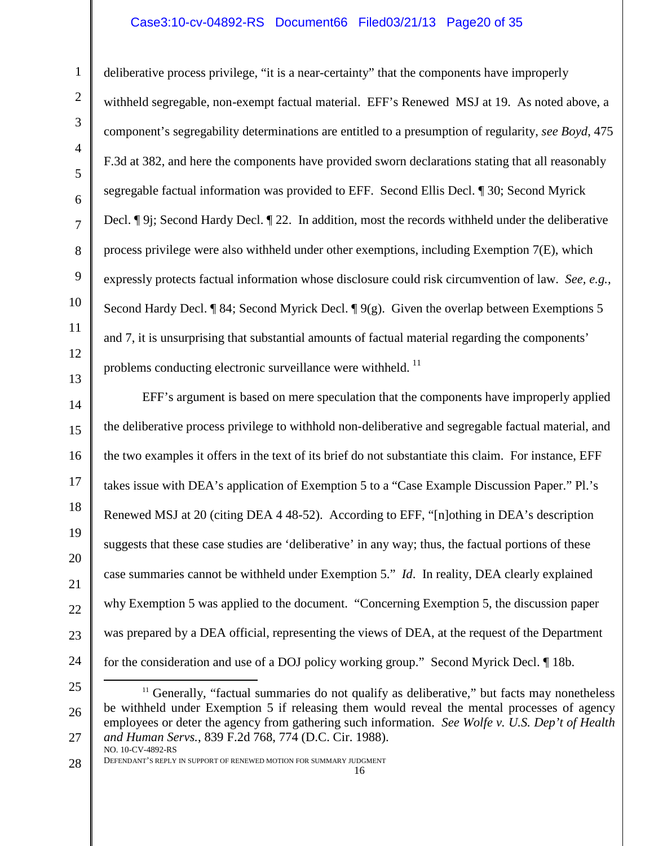#### Case3:10-cv-04892-RS Document66 Filed03/21/13 Page20 of 35

deliberative process privilege, "it is a near-certainty" that the components have improperly withheld segregable, non-exempt factual material. EFF's Renewed MSJ at 19. As noted above, a component's segregability determinations are entitled to a presumption of regularity, *see Boyd*, 475 F.3d at 382, and here the components have provided sworn declarations stating that all reasonably segregable factual information was provided to EFF. Second Ellis Decl. ¶ 30; Second Myrick Decl. ¶ 9j; Second Hardy Decl. ¶ 22. In addition, most the records withheld under the deliberative process privilege were also withheld under other exemptions, including Exemption 7(E), which expressly protects factual information whose disclosure could risk circumvention of law. *See, e.g.,* Second Hardy Decl. ¶ 84; Second Myrick Decl. ¶ 9(g). Given the overlap between Exemptions 5 and 7, it is unsurprising that substantial amounts of factual material regarding the components' problems conducting electronic surveillance were withheld.<sup>[11](#page-19-0)</sup>

14 15 16 22 23 24 EFF's argument is based on mere speculation that the components have improperly applied the deliberative process privilege to withhold non-deliberative and segregable factual material, and the two examples it offers in the text of its brief do not substantiate this claim. For instance, EFF takes issue with DEA's application of Exemption 5 to a "Case Example Discussion Paper." Pl.'s Renewed MSJ at 20 (citing DEA 4 48-52). According to EFF, "[n]othing in DEA's description suggests that these case studies are 'deliberative' in any way; thus, the factual portions of these case summaries cannot be withheld under Exemption 5." *Id*. In reality, DEA clearly explained why Exemption 5 was applied to the document. "Concerning Exemption 5, the discussion paper was prepared by a DEA official, representing the views of DEA, at the request of the Department for the consideration and use of a DOJ policy working group." Second Myrick Decl. ¶ 18b.

- <span id="page-19-0"></span>25 26 27 <sup>11</sup> Generally, "factual summaries do not qualify as deliberative," but facts may nonetheless be withheld under Exemption 5 if releasing them would reveal the mental processes of agency employees or deter the agency from gathering such information. *See Wolfe v. U.S. Dep't of Health and Human Servs.*, 839 F.2d 768, 774 (D.C. Cir. 1988). NO. 10-CV-4892-RS  $\overline{a}$
- 28

1

2

3

4

5

6

7

8

9

10

11

12

13

17

18

19

20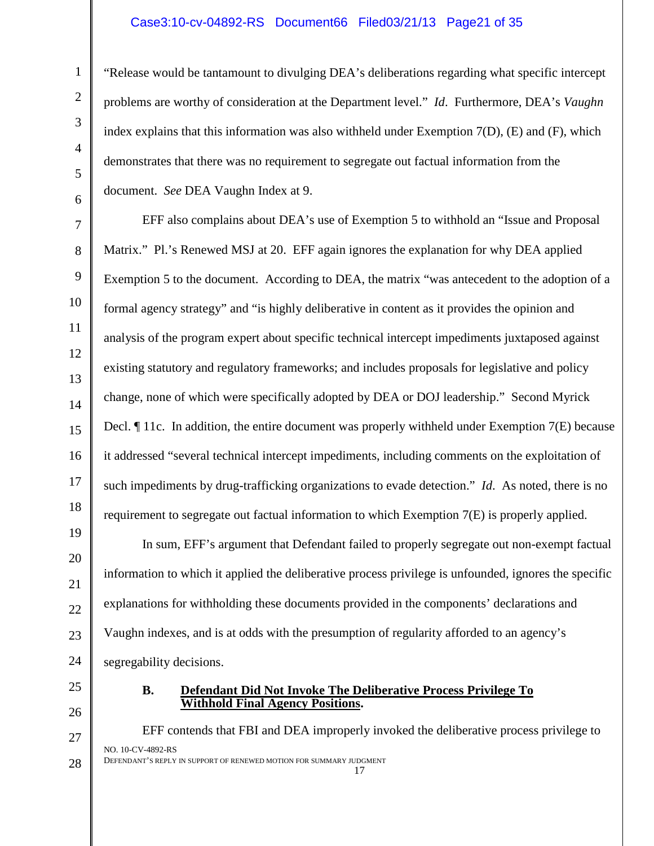#### Case3:10-cv-04892-RS Document66 Filed03/21/13 Page21 of 35

"Release would be tantamount to divulging DEA's deliberations regarding what specific intercept problems are worthy of consideration at the Department level." *Id*. Furthermore, DEA's *Vaughn* index explains that this information was also withheld under Exemption 7(D), (E) and (F), which demonstrates that there was no requirement to segregate out factual information from the document. *See* DEA Vaughn Index at 9.

EFF also complains about DEA's use of Exemption 5 to withhold an "Issue and Proposal Matrix." Pl.'s Renewed MSJ at 20. EFF again ignores the explanation for why DEA applied Exemption 5 to the document. According to DEA, the matrix "was antecedent to the adoption of a formal agency strategy" and "is highly deliberative in content as it provides the opinion and analysis of the program expert about specific technical intercept impediments juxtaposed against existing statutory and regulatory frameworks; and includes proposals for legislative and policy change, none of which were specifically adopted by DEA or DOJ leadership." Second Myrick Decl.  $\P$  11c. In addition, the entire document was properly withheld under Exemption 7(E) because it addressed "several technical intercept impediments, including comments on the exploitation of such impediments by drug-trafficking organizations to evade detection." *Id*. As noted, there is no requirement to segregate out factual information to which Exemption 7(E) is properly applied.

In sum, EFF's argument that Defendant failed to properly segregate out non-exempt factual information to which it applied the deliberative process privilege is unfounded, ignores the specific explanations for withholding these documents provided in the components' declarations and Vaughn indexes, and is at odds with the presumption of regularity afforded to an agency's segregability decisions.

#### **B. Defendant Did Not Invoke The Deliberative Process Privilege To Withhold Final Agency Positions.**

EFF contends that FBI and DEA improperly invoked the deliberative process privilege to NO. 10-CV-4892-RS DEFENDANT'S REPLY IN SUPPORT OF RENEWED MOTION FOR SUMMARY JUDGMENT 17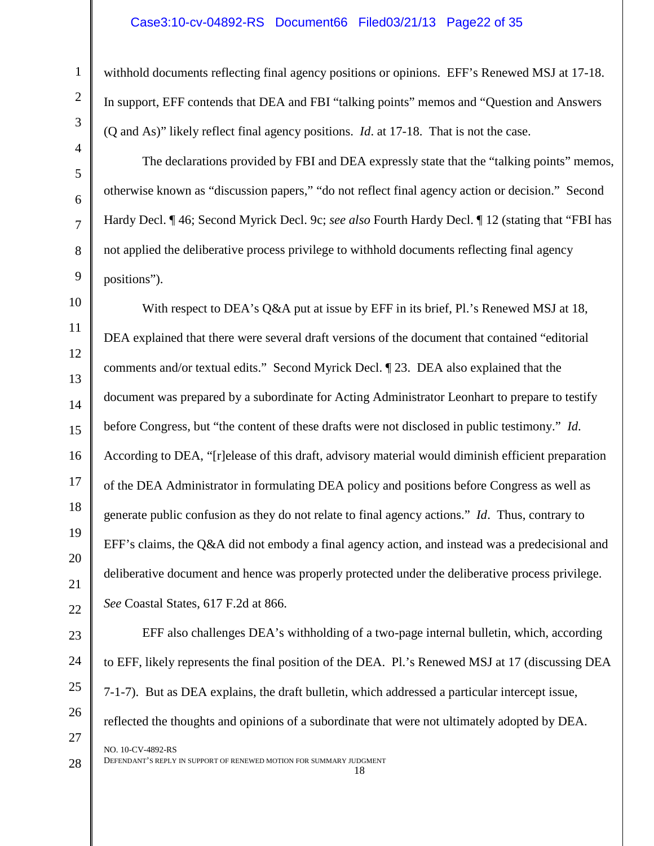#### Case3:10-cv-04892-RS Document66 Filed03/21/13 Page22 of 35

withhold documents reflecting final agency positions or opinions. EFF's Renewed MSJ at 17-18. In support, EFF contends that DEA and FBI "talking points" memos and "Question and Answers (Q and As)" likely reflect final agency positions. *Id*. at 17-18. That is not the case.

The declarations provided by FBI and DEA expressly state that the "talking points" memos, otherwise known as "discussion papers," "do not reflect final agency action or decision." Second Hardy Decl. ¶ 46; Second Myrick Decl. 9c; *see also* Fourth Hardy Decl. ¶ 12 (stating that "FBI has not applied the deliberative process privilege to withhold documents reflecting final agency positions").

12 14 15 16 19 22 With respect to DEA's Q&A put at issue by EFF in its brief, Pl.'s Renewed MSJ at 18, DEA explained that there were several draft versions of the document that contained "editorial comments and/or textual edits." Second Myrick Decl. ¶ 23. DEA also explained that the document was prepared by a subordinate for Acting Administrator Leonhart to prepare to testify before Congress, but "the content of these drafts were not disclosed in public testimony." *Id*. According to DEA, "[r]elease of this draft, advisory material would diminish efficient preparation of the DEA Administrator in formulating DEA policy and positions before Congress as well as generate public confusion as they do not relate to final agency actions." *Id*. Thus, contrary to EFF's claims, the Q&A did not embody a final agency action, and instead was a predecisional and deliberative document and hence was properly protected under the deliberative process privilege. *See* Coastal States, 617 F.2d at 866.

EFF also challenges DEA's withholding of a two-page internal bulletin, which, according to EFF, likely represents the final position of the DEA. Pl.'s Renewed MSJ at 17 (discussing DEA 7-1-7). But as DEA explains, the draft bulletin, which addressed a particular intercept issue, reflected the thoughts and opinions of a subordinate that were not ultimately adopted by DEA. NO. 10-CV-4892-RS

28

1

2

3

4

5

6

7

8

9

10

11

13

17

18

20

21

23

24

25

26

27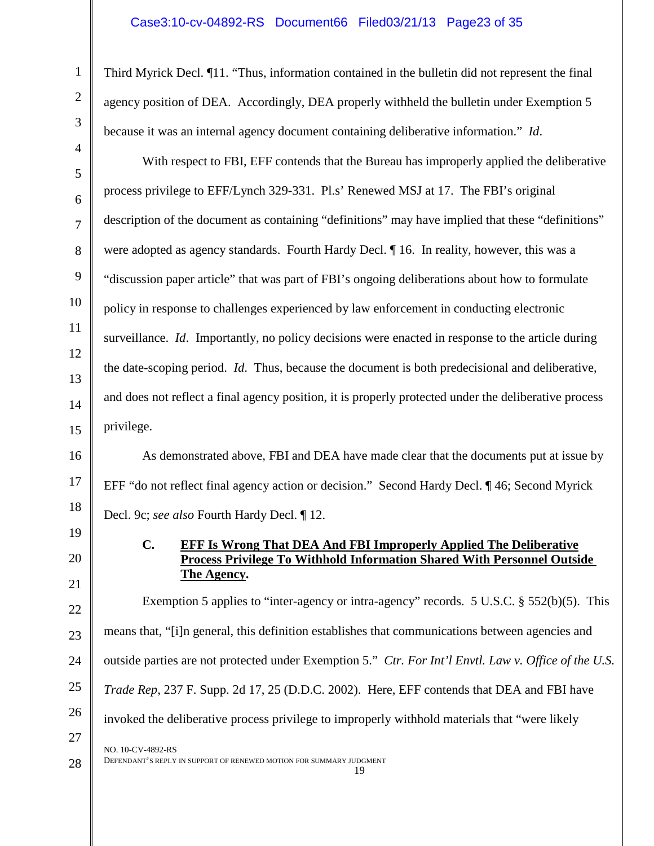Third Myrick Decl. ¶11. "Thus, information contained in the bulletin did not represent the final agency position of DEA. Accordingly, DEA properly withheld the bulletin under Exemption 5 because it was an internal agency document containing deliberative information." *Id*.

With respect to FBI, EFF contends that the Bureau has improperly applied the deliberative process privilege to EFF/Lynch 329-331. Pl.s' Renewed MSJ at 17. The FBI's original description of the document as containing "definitions" may have implied that these "definitions" were adopted as agency standards. Fourth Hardy Decl. ¶ 16. In reality, however, this was a "discussion paper article" that was part of FBI's ongoing deliberations about how to formulate policy in response to challenges experienced by law enforcement in conducting electronic surveillance. *Id*. Importantly, no policy decisions were enacted in response to the article during the date-scoping period. *Id*. Thus, because the document is both predecisional and deliberative, and does not reflect a final agency position, it is properly protected under the deliberative process privilege.

As demonstrated above, FBI and DEA have made clear that the documents put at issue by EFF "do not reflect final agency action or decision." Second Hardy Decl. ¶ 46; Second Myrick Decl. 9c; *see also* Fourth Hardy Decl. ¶ 12.

> **C. EFF Is Wrong That DEA And FBI Improperly Applied The Deliberative Process Privilege To Withhold Information Shared With Personnel Outside The Agency.**

Exemption 5 applies to "inter-agency or intra-agency" records. 5 U.S.C. § 552(b)(5). This means that, "[i]n general, this definition establishes that communications between agencies and outside parties are not protected under Exemption 5." *Ctr. For Int'l Envtl. Law v. Office of the U.S. Trade Rep*, 237 F. Supp. 2d 17, 25 (D.D.C. 2002). Here, EFF contends that DEA and FBI have invoked the deliberative process privilege to improperly withhold materials that "were likely NO. 10-CV-4892-RS DEFENDANT'S REPLY IN SUPPORT OF RENEWED MOTION FOR SUMMARY JUDGMENT

19

1

2

3

4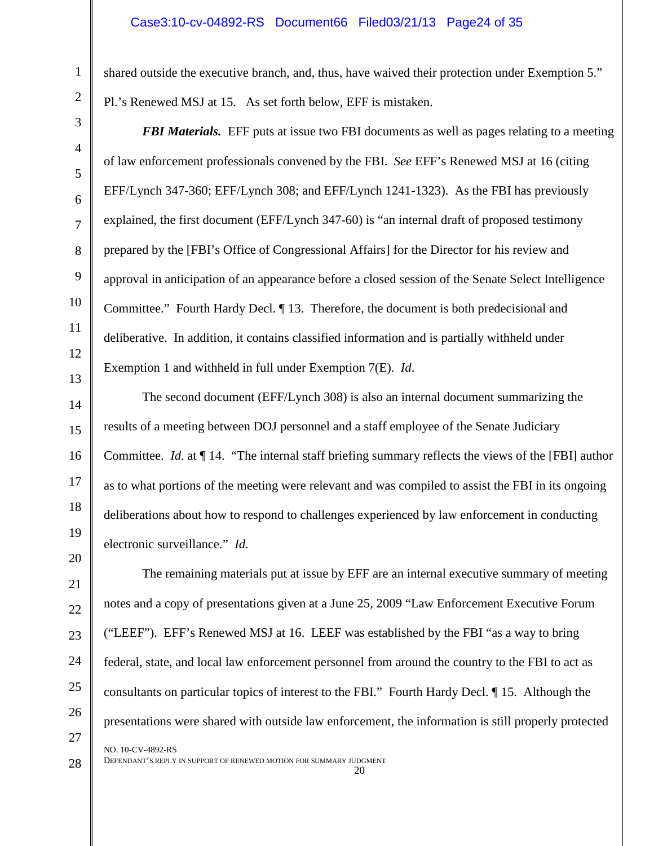shared outside the executive branch, and, thus, have waived their protection under Exemption 5." Pl.'s Renewed MSJ at 15. As set forth below, EFF is mistaken.

*FBI Materials.* EFF puts at issue two FBI documents as well as pages relating to a meeting of law enforcement professionals convened by the FBI. *See* EFF's Renewed MSJ at 16 (citing EFF/Lynch 347-360; EFF/Lynch 308; and EFF/Lynch 1241-1323). As the FBI has previously explained, the first document (EFF/Lynch 347-60) is "an internal draft of proposed testimony prepared by the [FBI's Office of Congressional Affairs] for the Director for his review and approval in anticipation of an appearance before a closed session of the Senate Select Intelligence Committee." Fourth Hardy Decl. ¶ 13. Therefore, the document is both predecisional and deliberative. In addition, it contains classified information and is partially withheld under Exemption 1 and withheld in full under Exemption 7(E). *Id*.

The second document (EFF/Lynch 308) is also an internal document summarizing the results of a meeting between DOJ personnel and a staff employee of the Senate Judiciary Committee. *Id*. at ¶ 14. "The internal staff briefing summary reflects the views of the [FBI] author as to what portions of the meeting were relevant and was compiled to assist the FBI in its ongoing deliberations about how to respond to challenges experienced by law enforcement in conducting electronic surveillance." *Id*.

The remaining materials put at issue by EFF are an internal executive summary of meeting notes and a copy of presentations given at a June 25, 2009 "Law Enforcement Executive Forum ("LEEF"). EFF's Renewed MSJ at 16. LEEF was established by the FBI "as a way to bring federal, state, and local law enforcement personnel from around the country to the FBI to act as consultants on particular topics of interest to the FBI." Fourth Hardy Decl. ¶ 15. Although the presentations were shared with outside law enforcement, the information is still properly protected NO. 10-CV-4892-RS

DEFENDANT'S REPLY IN SUPPORT OF RENEWED MOTION FOR SUMMARY JUDGMENT 20

1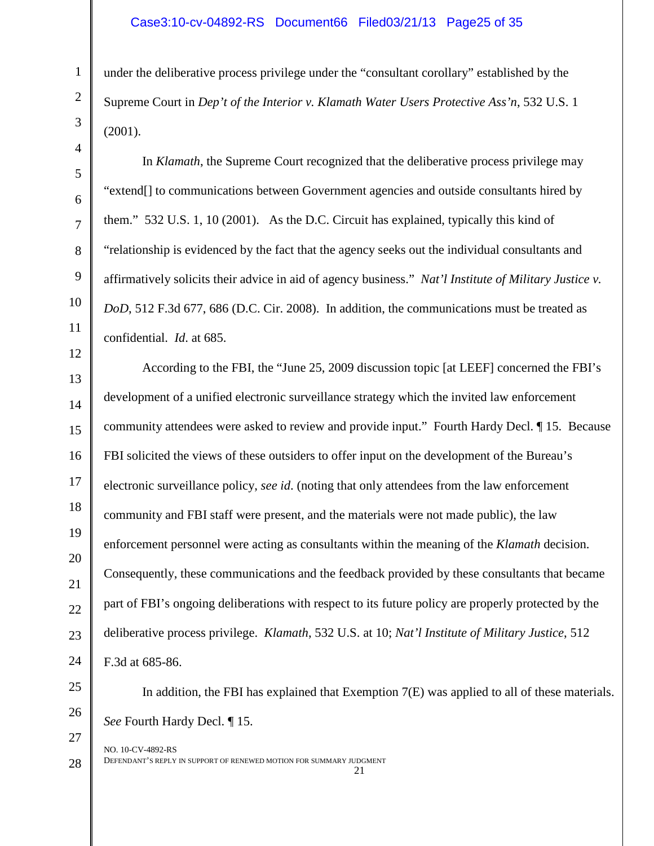under the deliberative process privilege under the "consultant corollary" established by the Supreme Court in *Dep't of the Interior v. Klamath Water Users Protective Ass'n*, 532 U.S. 1 (2001).

In *Klamath*, the Supreme Court recognized that the deliberative process privilege may "extend[] to communications between Government agencies and outside consultants hired by them." 532 U.S. 1, 10 (2001). As the D.C. Circuit has explained, typically this kind of "relationship is evidenced by the fact that the agency seeks out the individual consultants and affirmatively solicits their advice in aid of agency business." *Nat'l Institute of Military Justice v. DoD*, 512 F.3d 677, 686 (D.C. Cir. 2008). In addition, the communications must be treated as confidential. *Id*. at 685.

13 14 15 16 17 18 19 20 21 22 23 24 According to the FBI, the "June 25, 2009 discussion topic [at LEEF] concerned the FBI's development of a unified electronic surveillance strategy which the invited law enforcement community attendees were asked to review and provide input." Fourth Hardy Decl. ¶ 15. Because FBI solicited the views of these outsiders to offer input on the development of the Bureau's electronic surveillance policy, *see id*. (noting that only attendees from the law enforcement community and FBI staff were present, and the materials were not made public), the law enforcement personnel were acting as consultants within the meaning of the *Klamath* decision. Consequently, these communications and the feedback provided by these consultants that became part of FBI's ongoing deliberations with respect to its future policy are properly protected by the deliberative process privilege. *Klamath*, 532 U.S. at 10; *Nat'l Institute of Military Justice*, 512 F.3d at 685-86.

25 26 27

28

1

2

3

4

5

6

7

8

9

10

11

12

In addition, the FBI has explained that Exemption 7(E) was applied to all of these materials. *See* Fourth Hardy Decl. ¶ 15.

NO. 10-CV-4892-RS DEFENDANT'S REPLY IN SUPPORT OF RENEWED MOTION FOR SUMMARY JUDGMENT 21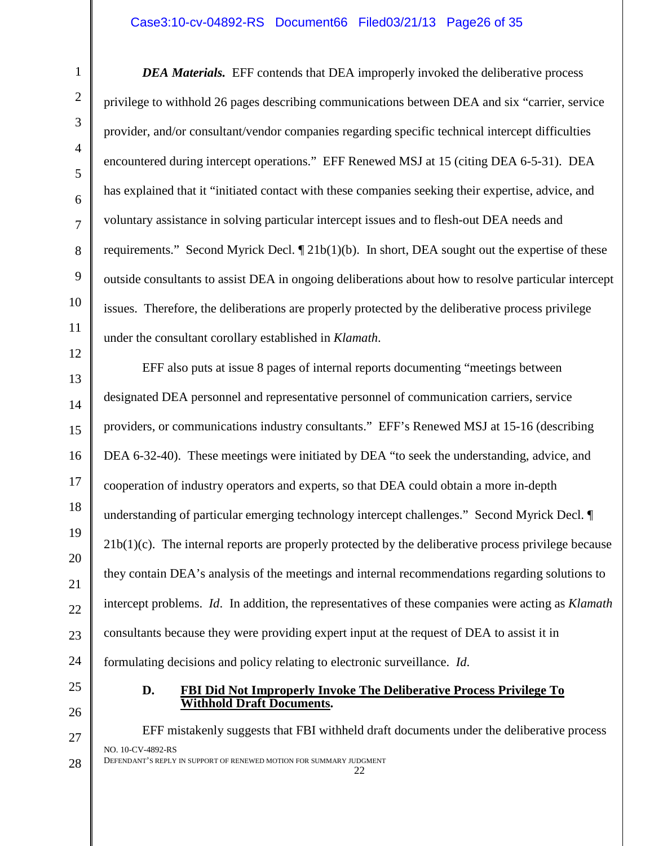#### Case3:10-cv-04892-RS Document66 Filed03/21/13 Page26 of 35

*DEA Materials.* EFF contends that DEA improperly invoked the deliberative process privilege to withhold 26 pages describing communications between DEA and six "carrier, service provider, and/or consultant/vendor companies regarding specific technical intercept difficulties encountered during intercept operations." EFF Renewed MSJ at 15 (citing DEA 6-5-31). DEA has explained that it "initiated contact with these companies seeking their expertise, advice, and voluntary assistance in solving particular intercept issues and to flesh-out DEA needs and requirements." Second Myrick Decl.  $\P$  21b(1)(b). In short, DEA sought out the expertise of these outside consultants to assist DEA in ongoing deliberations about how to resolve particular intercept issues. Therefore, the deliberations are properly protected by the deliberative process privilege under the consultant corollary established in *Klamath*.

EFF also puts at issue 8 pages of internal reports documenting "meetings between designated DEA personnel and representative personnel of communication carriers, service providers, or communications industry consultants." EFF's Renewed MSJ at 15-16 (describing DEA 6-32-40). These meetings were initiated by DEA "to seek the understanding, advice, and cooperation of industry operators and experts, so that DEA could obtain a more in-depth understanding of particular emerging technology intercept challenges." Second Myrick Decl. ¶  $21b(1)(c)$ . The internal reports are properly protected by the deliberative process privilege because they contain DEA's analysis of the meetings and internal recommendations regarding solutions to intercept problems. *Id*. In addition, the representatives of these companies were acting as *Klamath* consultants because they were providing expert input at the request of DEA to assist it in formulating decisions and policy relating to electronic surveillance. *Id*.

#### **D. FBI Did Not Improperly Invoke The Deliberative Process Privilege To Withhold Draft Documents.**

EFF mistakenly suggests that FBI withheld draft documents under the deliberative process NO. 10-CV-4892-RS DEFENDANT'S REPLY IN SUPPORT OF RENEWED MOTION FOR SUMMARY JUDGMENT 22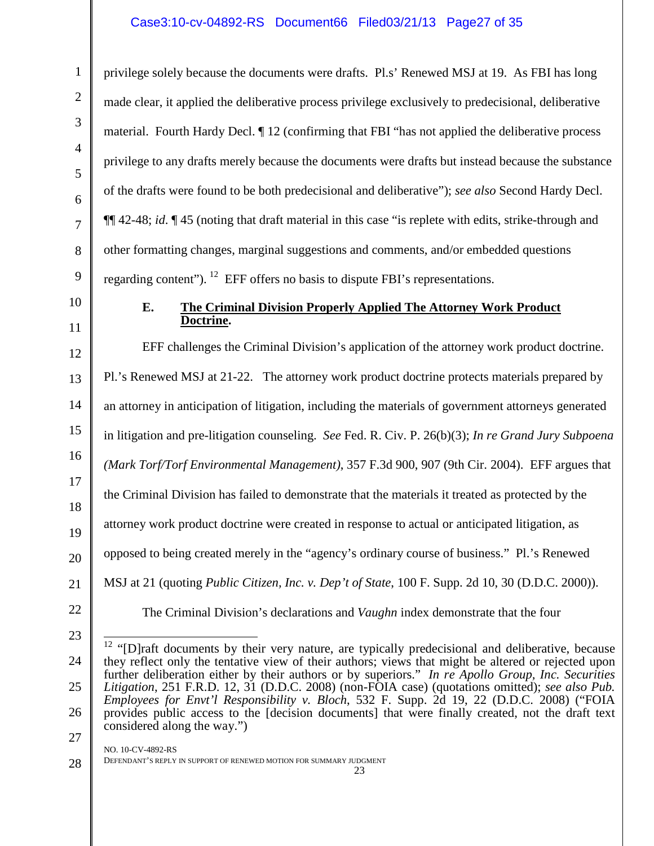## Case3:10-cv-04892-RS Document66 Filed03/21/13 Page27 of 35

privilege solely because the documents were drafts. Pl.s' Renewed MSJ at 19. As FBI has long made clear, it applied the deliberative process privilege exclusively to predecisional, deliberative material. Fourth Hardy Decl. ¶ 12 (confirming that FBI "has not applied the deliberative process privilege to any drafts merely because the documents were drafts but instead because the substance of the drafts were found to be both predecisional and deliberative"); *see also* Second Hardy Decl. ¶¶ 42-48; *id*. ¶ 45 (noting that draft material in this case "is replete with edits, strike-through and other formatting changes, marginal suggestions and comments, and/or embedded questions regarding content"). <sup>[12](#page-26-0)</sup> EFF offers no basis to dispute FBI's representations.

10

11

1

2

3

4

5

6

7

8

9

#### **E. The Criminal Division Properly Applied The Attorney Work Product Doctrine.**

12 13 14 15 16 17 18 19 20 21 EFF challenges the Criminal Division's application of the attorney work product doctrine. Pl.'s Renewed MSJ at 21-22. The attorney work product doctrine protects materials prepared by an attorney in anticipation of litigation, including the materials of government attorneys generated in litigation and pre-litigation counseling. *See* Fed. R. Civ. P. 26(b)(3); *In re Grand Jury Subpoena (Mark Torf/Torf Environmental Management)*, 357 F.3d 900, 907 (9th Cir. 2004). EFF argues that the Criminal Division has failed to demonstrate that the materials it treated as protected by the attorney work product doctrine were created in response to actual or anticipated litigation, as opposed to being created merely in the "agency's ordinary course of business." Pl.'s Renewed MSJ at 21 (quoting *Public Citizen, Inc. v. Dep't of State*, 100 F. Supp. 2d 10, 30 (D.D.C. 2000)).

22

23

The Criminal Division's declarations and *Vaughn* index demonstrate that the four

<span id="page-26-0"></span><sup>24</sup> 25 26 27  $12$  "[D]raft documents by their very nature, are typically predecisional and deliberative, because they reflect only the tentative view of their authors; views that might be altered or rejected upon further deliberation either by their authors or by superiors." *In re Apollo Group, Inc. Securities Litigation*, 251 F.R.D. 12, 31 (D.D.C. 2008) (non-FOIA case) (quotations omitted); *see also Pub. Employees for Envt'l Responsibility v. Bloch*, 532 F. Supp. 2d 19, 22 (D.D.C. 2008) ("FOIA provides public access to the [decision documents] that were finally created, not the draft text considered along the way.")  $\overline{1}$ 

<sup>28</sup> DEFENDANT'S REPLY IN SUPPORT OF RENEWED MOTION FOR SUMMARY JUDGMENT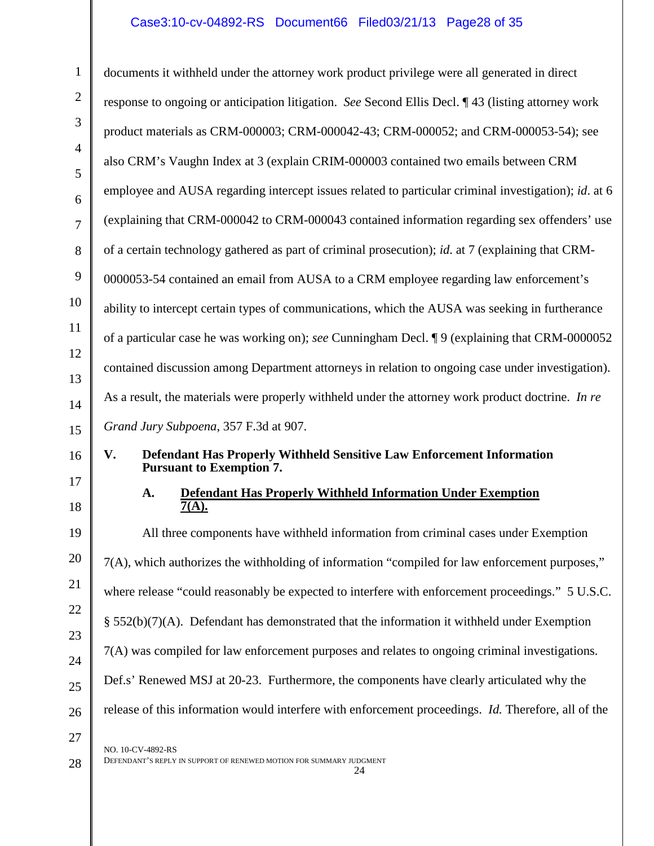# Case3:10-cv-04892-RS Document66 Filed03/21/13 Page28 of 35

| $\mathbf{1}$        | documents it withheld under the attorney work product privilege were all generated in direct         |
|---------------------|------------------------------------------------------------------------------------------------------|
| $\mathfrak{2}$      | response to ongoing or anticipation litigation. See Second Ellis Decl. ¶43 (listing attorney work    |
| 3                   | product materials as CRM-000003; CRM-000042-43; CRM-000052; and CRM-000053-54); see                  |
| 4                   | also CRM's Vaughn Index at 3 (explain CRIM-000003 contained two emails between CRM                   |
| 5                   | employee and AUSA regarding intercept issues related to particular criminal investigation); id. at 6 |
| 6<br>$\overline{7}$ | (explaining that CRM-000042 to CRM-000043 contained information regarding sex offenders' use         |
| 8                   | of a certain technology gathered as part of criminal prosecution); id. at 7 (explaining that CRM-    |
| 9                   | 0000053-54 contained an email from AUSA to a CRM employee regarding law enforcement's                |
| 10                  | ability to intercept certain types of communications, which the AUSA was seeking in furtherance      |
| 11                  | of a particular case he was working on); see Cunningham Decl. ¶9 (explaining that CRM-0000052        |
| 12                  | contained discussion among Department attorneys in relation to ongoing case under investigation).    |
| 13                  | As a result, the materials were properly withheld under the attorney work product doctrine. In re    |
| 14<br>15            | Grand Jury Subpoena, 357 F.3d at 907.                                                                |
| 16                  | Defendant Has Properly Withheld Sensitive Law Enforcement Information<br>V.                          |
| 17                  | <b>Pursuant to Exemption 7.</b>                                                                      |
| 18                  | <b>Defendant Has Properly Withheld Information Under Exemption</b><br>A.<br>$\overline{7(A)}$ .      |
| 19                  | All three components have withheld information from criminal cases under Exemption                   |
| 20                  | 7(A), which authorizes the withholding of information "compiled for law enforcement purposes,"       |
| 21                  | where release "could reasonably be expected to interfere with enforcement proceedings." 5 U.S.C.     |
| 22                  | $\S$ 552(b)(7)(A). Defendant has demonstrated that the information it withheld under Exemption       |
| 23                  | 7(A) was compiled for law enforcement purposes and relates to ongoing criminal investigations.       |
| 24<br>25            | Def.s' Renewed MSJ at 20-23. Furthermore, the components have clearly articulated why the            |
| 26                  | release of this information would interfere with enforcement proceedings. Id. Therefore, all of the  |
|                     |                                                                                                      |
| 27                  |                                                                                                      |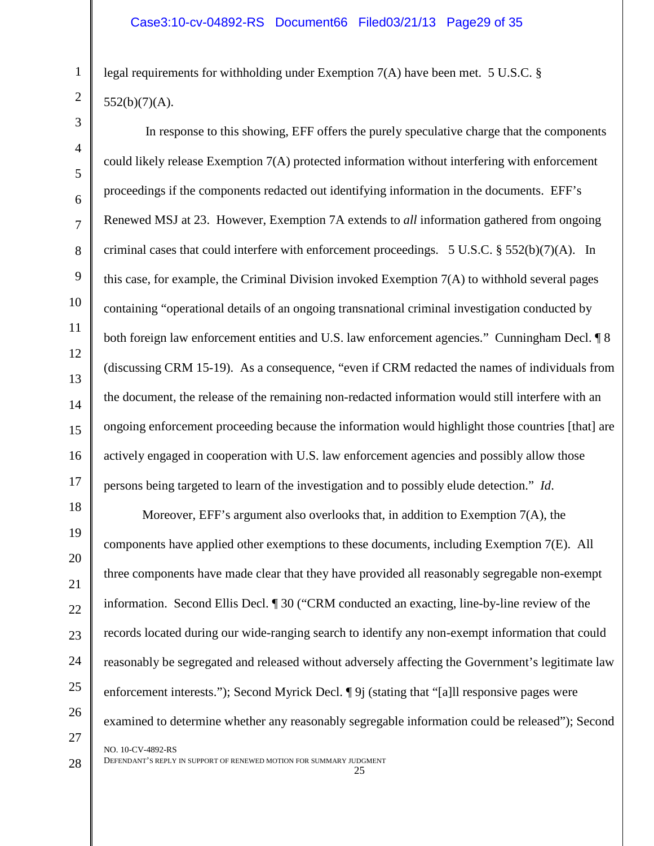legal requirements for withholding under Exemption 7(A) have been met. 5 U.S.C. §  $552(b)(7)(A)$ .

In response to this showing, EFF offers the purely speculative charge that the components could likely release Exemption 7(A) protected information without interfering with enforcement proceedings if the components redacted out identifying information in the documents. EFF's Renewed MSJ at 23. However, Exemption 7A extends to *all* information gathered from ongoing criminal cases that could interfere with enforcement proceedings.  $5 \text{ U.S.C.} \& 552(b)(7)(\text{A})$ . In this case, for example, the Criminal Division invoked Exemption  $7(A)$  to withhold several pages containing "operational details of an ongoing transnational criminal investigation conducted by both foreign law enforcement entities and U.S. law enforcement agencies." Cunningham Decl.  $\sqrt{9}$  8 (discussing CRM 15-19). As a consequence, "even if CRM redacted the names of individuals from the document, the release of the remaining non-redacted information would still interfere with an ongoing enforcement proceeding because the information would highlight those countries [that] are actively engaged in cooperation with U.S. law enforcement agencies and possibly allow those persons being targeted to learn of the investigation and to possibly elude detection." *Id*.

18 19 22 23 24 25 26 Moreover, EFF's argument also overlooks that, in addition to Exemption  $7(A)$ , the components have applied other exemptions to these documents, including Exemption 7(E). All three components have made clear that they have provided all reasonably segregable non-exempt information. Second Ellis Decl. ¶ 30 ("CRM conducted an exacting, line-by-line review of the records located during our wide-ranging search to identify any non-exempt information that could reasonably be segregated and released without adversely affecting the Government's legitimate law enforcement interests."); Second Myrick Decl.  $\P 9$  (stating that "[a]ll responsive pages were examined to determine whether any reasonably segregable information could be released"); Second NO. 10-CV-4892-RS

DEFENDANT'S REPLY IN SUPPORT OF RENEWED MOTION FOR SUMMARY JUDGMENT 25

1

2

3

4

5

6

7

8

9

10

11

12

13

14

15

16

17

20

21

27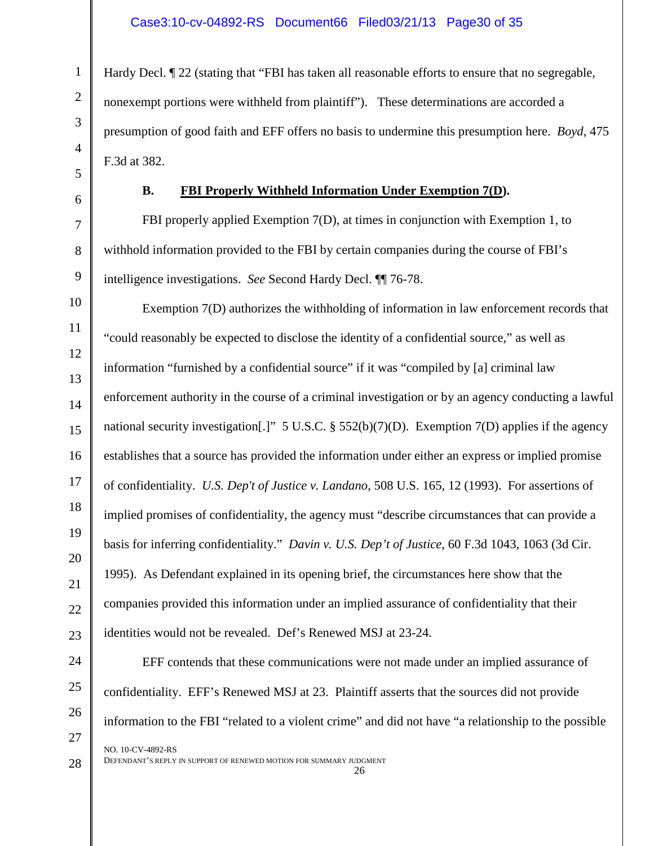Hardy Decl. ¶ 22 (stating that "FBI has taken all reasonable efforts to ensure that no segregable, nonexempt portions were withheld from plaintiff"). These determinations are accorded a presumption of good faith and EFF offers no basis to undermine this presumption here. *Boyd*, 475 F.3d at 382.

#### **B. FBI Properly Withheld Information Under Exemption 7(D).**

FBI properly applied Exemption 7(D), at times in conjunction with Exemption 1, to withhold information provided to the FBI by certain companies during the course of FBI's intelligence investigations. *See* Second Hardy Decl. ¶¶ 76-78.

Exemption 7(D) authorizes the withholding of information in law enforcement records that "could reasonably be expected to disclose the identity of a confidential source," as well as information "furnished by a confidential source" if it was "compiled by [a] criminal law enforcement authority in the course of a criminal investigation or by an agency conducting a lawful national security investigation[.]" 5 U.S.C. § 552(b)(7)(D). Exemption 7(D) applies if the agency establishes that a source has provided the information under either an express or implied promise of confidentiality. *U.S. Dep't of Justice v. Landano*, 508 U.S. 165, 12 (1993). For assertions of implied promises of confidentiality, the agency must "describe circumstances that can provide a basis for inferring confidentiality." *Davin v. U.S. Dep't of Justice*, 60 F.3d 1043, 1063 (3d Cir. 1995). As Defendant explained in its opening brief, the circumstances here show that the companies provided this information under an implied assurance of confidentiality that their identities would not be revealed. Def's Renewed MSJ at 23-24.

EFF contends that these communications were not made under an implied assurance of confidentiality. EFF's Renewed MSJ at 23. Plaintiff asserts that the sources did not provide information to the FBI "related to a violent crime" and did not have "a relationship to the possible NO. 10-CV-4892-RS

<sup>26</sup>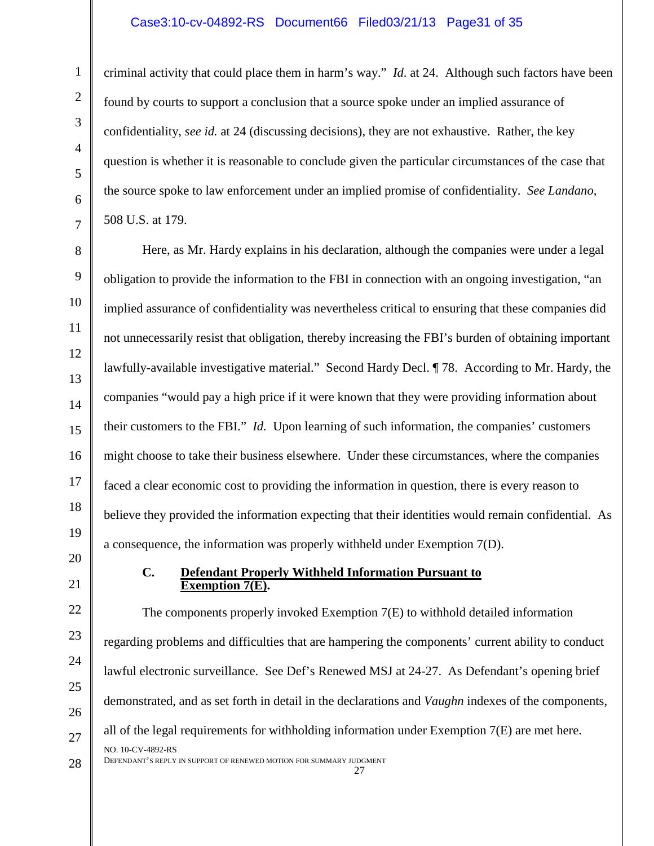#### Case3:10-cv-04892-RS Document66 Filed03/21/13 Page31 of 35

criminal activity that could place them in harm's way." *Id*. at 24. Although such factors have been found by courts to support a conclusion that a source spoke under an implied assurance of confidentiality, *see id.* at 24 (discussing decisions), they are not exhaustive. Rather, the key question is whether it is reasonable to conclude given the particular circumstances of the case that the source spoke to law enforcement under an implied promise of confidentiality. *See Landano*, 508 U.S. at 179.

Here, as Mr. Hardy explains in his declaration, although the companies were under a legal obligation to provide the information to the FBI in connection with an ongoing investigation, "an implied assurance of confidentiality was nevertheless critical to ensuring that these companies did not unnecessarily resist that obligation, thereby increasing the FBI's burden of obtaining important lawfully-available investigative material." Second Hardy Decl. ¶ 78. According to Mr. Hardy, the companies "would pay a high price if it were known that they were providing information about their customers to the FBI." *Id.* Upon learning of such information, the companies' customers might choose to take their business elsewhere. Under these circumstances, where the companies faced a clear economic cost to providing the information in question, there is every reason to believe they provided the information expecting that their identities would remain confidential. As a consequence, the information was properly withheld under Exemption 7(D).

> **C. Defendant Properly Withheld Information Pursuant to Exemption 7(E).**

The components properly invoked Exemption 7(E) to withhold detailed information regarding problems and difficulties that are hampering the components' current ability to conduct lawful electronic surveillance. See Def's Renewed MSJ at 24-27. As Defendant's opening brief demonstrated, and as set forth in detail in the declarations and *Vaughn* indexes of the components, all of the legal requirements for withholding information under Exemption  $7(E)$  are met here. NO. 10-CV-4892-RS DEFENDANT'S REPLY IN SUPPORT OF RENEWED MOTION FOR SUMMARY JUDGMENT 27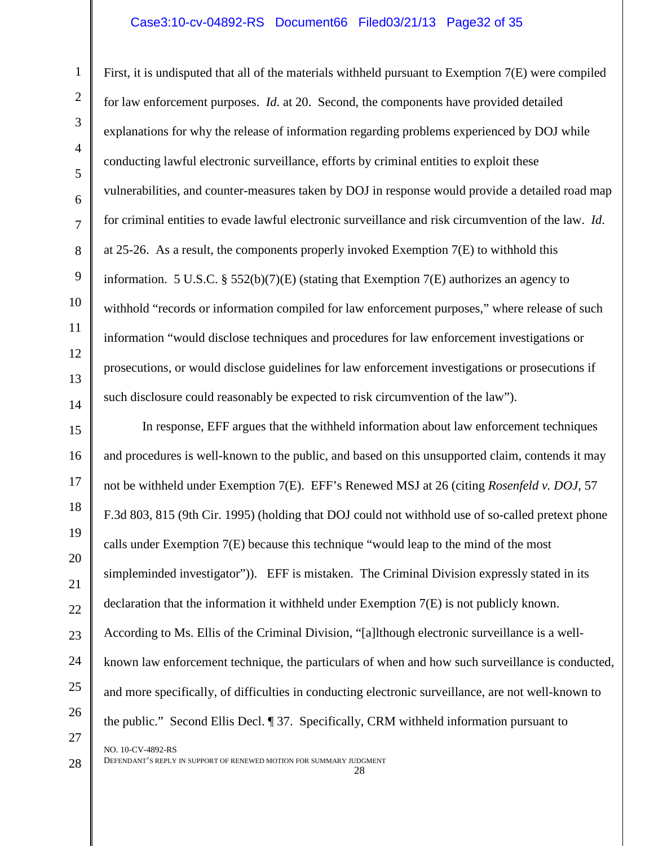#### Case3:10-cv-04892-RS Document66 Filed03/21/13 Page32 of 35

First, it is undisputed that all of the materials withheld pursuant to Exemption 7(E) were compiled for law enforcement purposes. *Id*. at 20. Second, the components have provided detailed explanations for why the release of information regarding problems experienced by DOJ while conducting lawful electronic surveillance, efforts by criminal entities to exploit these vulnerabilities, and counter-measures taken by DOJ in response would provide a detailed road map for criminal entities to evade lawful electronic surveillance and risk circumvention of the law. *Id*. at 25-26. As a result, the components properly invoked Exemption 7(E) to withhold this information. 5 U.S.C. § 552(b)(7)(E) (stating that Exemption 7(E) authorizes an agency to withhold "records or information compiled for law enforcement purposes," where release of such information "would disclose techniques and procedures for law enforcement investigations or prosecutions, or would disclose guidelines for law enforcement investigations or prosecutions if such disclosure could reasonably be expected to risk circumvention of the law").

15 16 17 18 19 20 21 22 23 24 25 26 27 In response, EFF argues that the withheld information about law enforcement techniques and procedures is well-known to the public, and based on this unsupported claim, contends it may not be withheld under Exemption 7(E). EFF's Renewed MSJ at 26 (citing *Rosenfeld v. DOJ*, 57 F.3d 803, 815 (9th Cir. 1995) (holding that DOJ could not withhold use of so-called pretext phone calls under Exemption 7(E) because this technique "would leap to the mind of the most simpleminded investigator")). EFF is mistaken. The Criminal Division expressly stated in its declaration that the information it withheld under Exemption 7(E) is not publicly known. According to Ms. Ellis of the Criminal Division, "[a]lthough electronic surveillance is a wellknown law enforcement technique, the particulars of when and how such surveillance is conducted, and more specifically, of difficulties in conducting electronic surveillance, are not well-known to the public." Second Ellis Decl. ¶ 37. Specifically, CRM withheld information pursuant to NO. 10-CV-4892-RS

28

1

2

3

4

5

6

7

8

9

10

11

12

13

14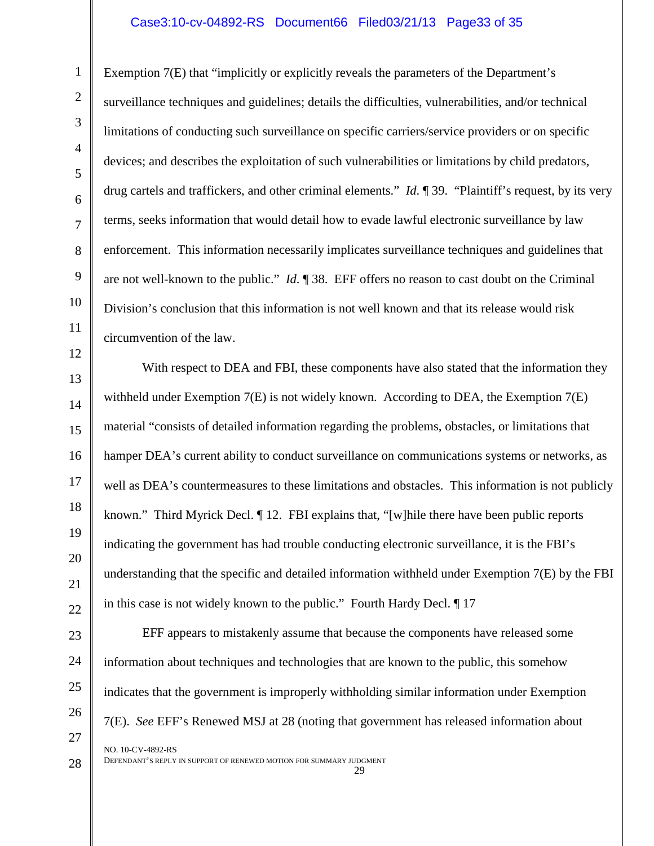#### Case3:10-cv-04892-RS Document66 Filed03/21/13 Page33 of 35

Exemption 7(E) that "implicitly or explicitly reveals the parameters of the Department's surveillance techniques and guidelines; details the difficulties, vulnerabilities, and/or technical limitations of conducting such surveillance on specific carriers/service providers or on specific devices; and describes the exploitation of such vulnerabilities or limitations by child predators, drug cartels and traffickers, and other criminal elements." *Id*. ¶ 39. "Plaintiff's request, by its very terms, seeks information that would detail how to evade lawful electronic surveillance by law enforcement. This information necessarily implicates surveillance techniques and guidelines that are not well-known to the public." *Id*. ¶ 38. EFF offers no reason to cast doubt on the Criminal Division's conclusion that this information is not well known and that its release would risk circumvention of the law.

14 15 16 18 19 22 With respect to DEA and FBI, these components have also stated that the information they withheld under Exemption  $7(E)$  is not widely known. According to DEA, the Exemption  $7(E)$ material "consists of detailed information regarding the problems, obstacles, or limitations that hamper DEA's current ability to conduct surveillance on communications systems or networks, as well as DEA's countermeasures to these limitations and obstacles. This information is not publicly known." Third Myrick Decl. ¶ 12. FBI explains that, "[w]hile there have been public reports indicating the government has had trouble conducting electronic surveillance, it is the FBI's understanding that the specific and detailed information withheld under Exemption 7(E) by the FBI in this case is not widely known to the public." Fourth Hardy Decl. ¶ 17

EFF appears to mistakenly assume that because the components have released some information about techniques and technologies that are known to the public, this somehow indicates that the government is improperly withholding similar information under Exemption 7(E). *See* EFF's Renewed MSJ at 28 (noting that government has released information about NO. 10-CV-4892-RS

DEFENDANT'S REPLY IN SUPPORT OF RENEWED MOTION FOR SUMMARY JUDGMENT 29

1

2

3

4

5

6

7

8

9

10

11

12

13

17

20

21

23

24

25

26

27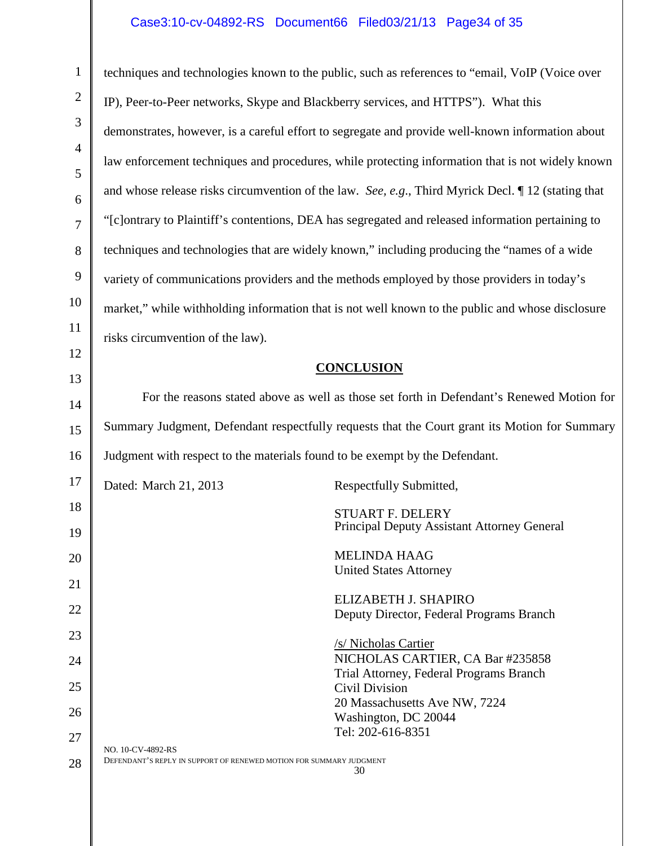#### Case3:10-cv-04892-RS Document66 Filed03/21/13 Page34 of 35

1

2

3

4

5

6

7

8

9

10

11

12

13

17

18

19

20

21

23

24

27

28

14 15 16 22 25 26 techniques and technologies known to the public, such as references to "email, VoIP (Voice over IP), Peer-to-Peer networks, Skype and Blackberry services, and HTTPS"). What this demonstrates, however, is a careful effort to segregate and provide well-known information about law enforcement techniques and procedures, while protecting information that is not widely known and whose release risks circumvention of the law. *See, e.g*., Third Myrick Decl. ¶ 12 (stating that "[c]ontrary to Plaintiff's contentions, DEA has segregated and released information pertaining to techniques and technologies that are widely known," including producing the "names of a wide variety of communications providers and the methods employed by those providers in today's market," while withholding information that is not well known to the public and whose disclosure risks circumvention of the law). **CONCLUSION** For the reasons stated above as well as those set forth in Defendant's Renewed Motion for Summary Judgment, Defendant respectfully requests that the Court grant its Motion for Summary Judgment with respect to the materials found to be exempt by the Defendant. Dated: March 21, 2013 Respectfully Submitted, STUART F. DELERY Principal Deputy Assistant Attorney General MELINDA HAAG United States Attorney ELIZABETH J. SHAPIRO Deputy Director, Federal Programs Branch /s/ Nicholas Cartier NICHOLAS CARTIER, CA Bar #235858 Trial Attorney, Federal Programs Branch Civil Division 20 Massachusetts Ave NW, 7224 Washington, DC 20044 Tel: 202-616-8351 NO. 10-CV-4892-RS DEFENDANT'S REPLY IN SUPPORT OF RENEWED MOTION FOR SUMMARY JUDGMENT